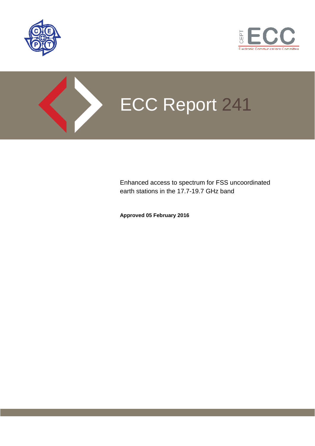



# ECC Report 241

Enhanced access to spectrum for FSS uncoordinated earth stations in the 17.7-19.7 GHz band

**Approved 05 February 2016**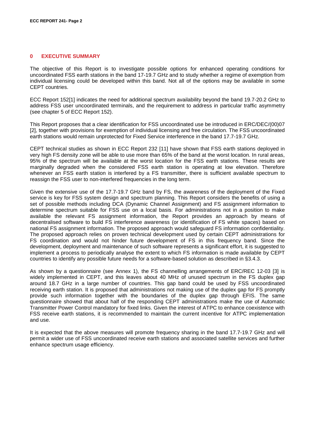#### <span id="page-1-0"></span>**0 EXECUTIVE SUMMARY**

The objective of this Report is to investigate possible options for enhanced operating conditions for uncoordinated FSS earth stations in the band 17-19.7 GHz and to study whether a regime of exemption from individual licensing could be developed within this band. Not all of the options may be available in some CEPT countries.

ECC Report 15[2\[1\]](#page-40-0) indicates the need for additional spectrum availability beyond the band 19.7-20.2 GHz to address FSS user uncoordinated terminals, and the requirement to address in particular traffic asymmetry (see chapter 5 of ECC Report 152).

This Report proposes that a clear identification for FSS uncoordinated use be introduced in ERC/DEC/(00)07 [\[2\],](#page-40-1) together with provisions for exemption of individual licensing and free circulation. The FSS uncoordinated earth stations would remain unprotected for Fixed Service interference in the band 17.7-19.7 GHz.

CEPT technical studies as shown in ECC Report 232 [11] have shown that FSS earth stations deployed in very high FS density zone will be able to use more than 65% of the band at the worst location. In rural areas, 95% of the spectrum will be available at the worst location for the FSS earth stations. These results are marginally degraded when the considered FSS earth station is operating at low elevation. Therefore whenever an FSS earth station is interfered by a FS transmitter, there is sufficient available spectrum to reassign the FSS user to non-interfered frequencies in the long term.

Given the extensive use of the 17.7-19.7 GHz band by FS, the awareness of the deployment of the Fixed service is key for FSS system design and spectrum planning. This Report considers the benefits of using a set of possible methods including DCA (Dynamic Channel Assignment) and FS assignment information to determine spectrum suitable for FSS use on a local basis. For administrations not in a position to make available the relevant FS assignment information, the Report provides an approach by means of decentralised software to build FS interference awareness (or identification of FS white spaces) based on national FS assignment information. The proposed approach would safeguard FS information confidentiality. The proposed approach relies on proven technical development used by certain CEPT administrations for FS coordination and would not hinder future development of FS in this frequency band. Since the development, deployment and maintenance of such software represents a significant effort, it is suggested to implement a process to periodically analyse the extent to which FS information is made available by CEPT countries to identify any possible future needs for a software-based solution as described in §3.4.3.

As shown by a questionnaire (see Annex 1), the FS channelling arrangements of ERC/REC 12-03 [\[3\]](#page-40-2) is widely implemented in CEPT, and this leaves about 40 MHz of unused spectrum in the FS duplex gap around 18.7 GHz in a large number of countries. This gap band could be used by FSS uncoordinated receiving earth station. It is proposed that administrations not making use of the duplex gap for FS promptly provide such information together with the boundaries of the duplex gap through EFIS. The same questionnaire showed that about half of the responding CEPT administrations make the use of Automatic Transmitter Power Control mandatory for fixed links. Given the interest of ATPC to enhance coexistence with FSS receive earth stations, it is recommended to maintain the current incentive for ATPC implementation and use.

It is expected that the above measures will promote frequency sharing in the band 17.7-19.7 GHz and will permit a wider use of FSS uncoordinated receive earth stations and associated satellite services and further enhance spectrum usage efficiency.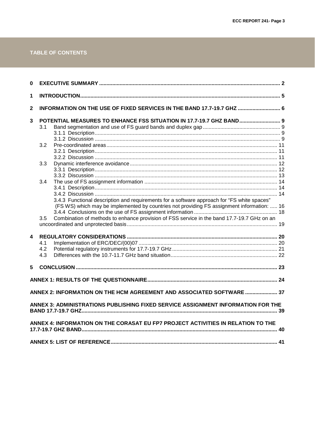# TABLE OF CONTENTS

| 0                |     |                                                                                             |  |
|------------------|-----|---------------------------------------------------------------------------------------------|--|
| 1                |     |                                                                                             |  |
| $\mathbf{2}$     |     | INFORMATION ON THE USE OF FIXED SERVICES IN THE BAND 17.7-19.7 GHZ  6                       |  |
| 3                |     | POTENTIAL MEASURES TO ENHANCE FSS SITUATION IN 17.7-19.7 GHZ BAND 9                         |  |
|                  | 3.1 |                                                                                             |  |
|                  |     |                                                                                             |  |
|                  |     |                                                                                             |  |
|                  | 3.2 |                                                                                             |  |
|                  |     |                                                                                             |  |
|                  |     |                                                                                             |  |
|                  | 3.3 |                                                                                             |  |
|                  |     |                                                                                             |  |
|                  | 3.4 |                                                                                             |  |
|                  |     |                                                                                             |  |
|                  |     |                                                                                             |  |
|                  |     | 3.4.3 Functional description and requirements for a software approach for "FS white spaces" |  |
|                  |     | (FS WS) which may be implemented by countries not providing FS assignment information:  16  |  |
|                  |     |                                                                                             |  |
|                  | 3.5 | Combination of methods to enhance provision of FSS service in the band 17.7-19.7 GHz on an  |  |
|                  |     |                                                                                             |  |
| $\boldsymbol{4}$ |     |                                                                                             |  |
|                  | 4.1 |                                                                                             |  |
|                  | 4.2 |                                                                                             |  |
|                  | 4.3 |                                                                                             |  |
|                  |     |                                                                                             |  |
| 5                |     |                                                                                             |  |
|                  |     |                                                                                             |  |
|                  |     |                                                                                             |  |
|                  |     | ANNEX 2: INFORMATION ON THE HCM AGREEMENT AND ASSOCIATED SOFTWARE  37                       |  |
|                  |     | ANNEX 3: ADMINISTRATIONS PUBLISHING FIXED SERVICE ASSIGNMENT INFORMATION FOR THE            |  |
|                  |     | ANNEX 4: INFORMATION ON THE CORASAT EU FP7 PROJECT ACTIVITIES IN RELATION TO THE            |  |
|                  |     |                                                                                             |  |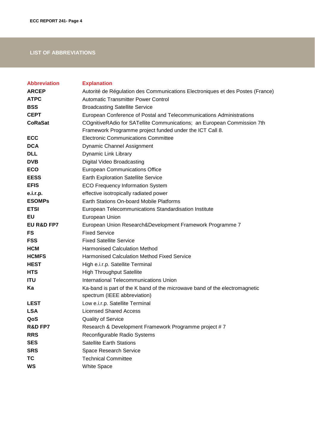# **LIST OF ABBREVIATIONS**

| <b>Abbreviation</b> | <b>Explanation</b>                                                             |
|---------------------|--------------------------------------------------------------------------------|
| <b>ARCEP</b>        | Autorité de Régulation des Communications Electroniques et des Postes (France) |
| <b>ATPC</b>         | <b>Automatic Transmitter Power Control</b>                                     |
| <b>BSS</b>          | <b>Broadcasting Satellite Service</b>                                          |
| <b>CEPT</b>         | European Conference of Postal and Telecommunications Administrations           |
| <b>CoRaSat</b>      | COgnitiveRAdio for SATellite Communications; an European Commission 7th        |
|                     | Framework Programme project funded under the ICT Call 8.                       |
| <b>ECC</b>          | <b>Electronic Communications Committee</b>                                     |
| <b>DCA</b>          | Dynamic Channel Assignment                                                     |
| <b>DLL</b>          | Dynamic Link Library                                                           |
| <b>DVB</b>          | Digital Video Broadcasting                                                     |
| <b>ECO</b>          | <b>European Communications Office</b>                                          |
| <b>EESS</b>         | <b>Earth Exploration Satellite Service</b>                                     |
| <b>EFIS</b>         | <b>ECO Frequency Information System</b>                                        |
| e.i.r.p.            | effective isotropically radiated power                                         |
| <b>ESOMPs</b>       | Earth Stations On-board Mobile Platforms                                       |
| <b>ETSI</b>         | European Telecommunications Standardisation Institute                          |
| EU                  | European Union                                                                 |
| EU R&D FP7          | European Union Research&Development Framework Programme 7                      |
| FS                  | <b>Fixed Service</b>                                                           |
| <b>FSS</b>          | <b>Fixed Satellite Service</b>                                                 |
| <b>HCM</b>          | <b>Harmonised Calculation Method</b>                                           |
| <b>HCMFS</b>        | <b>Harmonised Calculation Method Fixed Service</b>                             |
| <b>HEST</b>         | High e.i.r.p. Satellite Terminal                                               |
| <b>HTS</b>          | <b>High Throughput Satellite</b>                                               |
| <b>ITU</b>          | International Telecommunications Union                                         |
| Ka                  | Ka-band is part of the K band of the microwave band of the electromagnetic     |
|                     | spectrum (IEEE abbreviation)                                                   |
| <b>LEST</b>         | Low e.i.r.p. Satellite Terminal                                                |
| <b>LSA</b>          | <b>Licensed Shared Access</b>                                                  |
| QoS                 | <b>Quality of Service</b>                                                      |
| <b>R&amp;D FP7</b>  | Research & Development Framework Programme project #7                          |
| <b>RRS</b>          | Reconfigurable Radio Systems                                                   |
| <b>SES</b>          | <b>Satellite Earth Stations</b>                                                |
| <b>SRS</b>          | Space Research Service                                                         |
| TC                  | <b>Technical Committee</b>                                                     |
| <b>WS</b>           | <b>White Space</b>                                                             |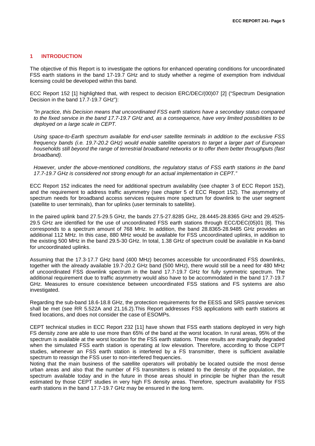#### <span id="page-4-0"></span>**1 INTRODUCTION**

The objective of this Report is to investigate the options for enhanced operating conditions for uncoordinated FSS earth stations in the band 17-19.7 GHz and to study whether a regime of exemption from individual licensing could be developed within this band.

ECC Report 152 [\[1\]](#page-40-0) highlighted that, with respect to decision ERC/DEC/(00)07 [\[2\]](#page-40-1) ("Spectrum Designation Decision in the band 17.7-19.7 GHz"):

*"In practice, this Decision means that uncoordinated FSS earth stations have a secondary status compared to the fixed service in the band 17.7-19.7 GHz and, as a consequence, have very limited possibilities to be deployed on a large scale in CEPT.*

*Using space-to-Earth spectrum available for end-user satellite terminals in addition to the exclusive FSS frequency bands (i.e. 19.7-20.2 GHz) would enable satellite operators to target a larger part of European households still beyond the range of terrestrial broadband networks or to offer them better throughputs (fast broadband).* 

*However, under the above-mentioned conditions, the regulatory status of FSS earth stations in the band 17.7-19.7 GHz is considered not strong enough for an actual implementation in CEPT."*

ECC Report 152 indicates the need for additional spectrum availability (see chapter 3 of ECC Report 152), and the requirement to address traffic asymmetry (see chapter 5 of ECC Report 152). The asymmetry of spectrum needs for broadband access services requires more spectrum for downlink to the user segment (satellite to user terminals), than for uplinks (user terminals to satellite).

In the paired uplink band 27.5-29.5 GHz, the bands 27.5-27.8285 GHz, 28.4445-28.8365 GHz and 29.4525- 29.5 GHz are identified for the use of uncoordinated FSS earth stations through ECC/DEC(05)01 [\[8\].](#page-40-4) This corresponds to a spectrum amount of 768 MHz. In addition, the band 28.8365-28.9485 GHz provides an additional 112 MHz. In this case, 880 MHz would be available for FSS uncoordinated uplinks, in addition to the existing 500 MHz in the band 29.5-30 GHz. In total, 1.38 GHz of spectrum could be available in Ka-band for uncoordinated uplinks.

Assuming that the 17.3-17.7 GHz band (400 MHz) becomes accessible for uncoordinated FSS downlinks, together with the already available 19.7-20.2 GHz band (500 MHz), there would still be a need for 480 MHz of uncoordinated FSS downlink spectrum in the band 17.7-19.7 GHz for fully symmetric spectrum. The additional requirement due to traffic asymmetry would also have to be accommodated in the band 17.7-19.7 GHz. Measures to ensure coexistence between uncoordinated FSS stations and FS systems are also investigated.

Regarding the sub-band 18.6-18.8 GHz, the protection requirements for the EESS and SRS passive services shall be met (see RR 5.522A and 21.16.2).This Report addresses FSS applications with earth stations at fixed locations, and does not consider the case of ESOMPs.

CEPT technical studies in ECC Report 232 [11] have shown that FSS earth stations deployed in very high FS density zone are able to use more than 65% of the band at the worst location. In rural areas, 95% of the spectrum is available at the worst location for the FSS earth stations. These results are marginally degraded when the simulated FSS earth station is operating at low elevation. Therefore, according to those CEPT studies, whenever an FSS earth station is interfered by a FS transmitter, there is sufficient available spectrum to reassign the FSS user to non-interfered frequencies.

Noting that the main business of the satellite operators will probably be located outside the most dense urban areas and also that the number of FS transmitters is related to the density of the population, the spectrum available today and in the future in those areas should in principle be higher than the result estimated by those CEPT studies in very high FS density areas. Therefore, spectrum availability for FSS earth stations in the band 17.7-19.7 GHz may be ensured in the long term.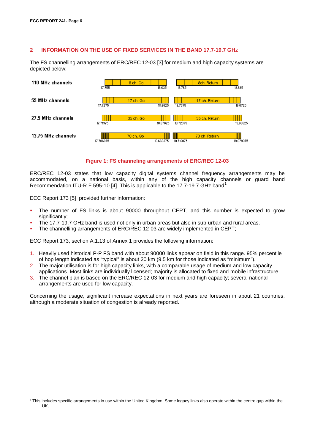#### <span id="page-5-0"></span>**2 INFORMATION ON THE USE OF FIXED SERVICES IN THE BAND 17.7-19.7 GHZ**

The FS channelling arrangements of ERC/REC 12-03 [\[3\]](#page-40-2) for medium and high capacity systems are depicted below:



#### **Figure 1: FS channeling arrangements of ERC/REC 12-03**

ERC/REC 12-03 states that low capacity digital systems channel frequency arrangements may be accommodated, on a national basis, within any of the high capacity channels or guard band Recommendation ITU-R F.595-10 [\[4\].](#page-40-5) This is applicable to the [1](#page-5-1)7.7-19.7 GHz band<sup>1</sup>.

ECC Report 173 [\[5\]](#page-40-6) provided further information:

- The number of FS links is about 90000 throughout CEPT, and this number is expected to grow significantly;
- The 17.7-19.7 GHz band is used not only in urban areas but also in sub-urban and rural areas.
- The channelling arrangements of ERC/REC 12-03 are widely implemented in CEPT;

ECC Report 173, section A.1.13 of Annex 1 provides the following information:

- 1. Heavily used historical P-P FS band with about 90000 links appear on field in this range. 95% percentile of hop length indicated as "typical" is about 20 km (9.5 km for those indicated as "minimum").
- 2. The major utilisation is for high capacity links, with a comparable usage of medium and low capacity applications. Most links are individually licensed; majority is allocated to fixed and mobile infrastructure.
- 3. The channel plan is based on the ERC/REC 12-03 for medium and high capacity; several national arrangements are used for low capacity.

Concerning the usage, significant increase expectations in next years are foreseen in about 21 countries, although a moderate situation of congestion is already reported.

<span id="page-5-1"></span><sup>&</sup>lt;sup>1</sup> This includes specific arrangements in use within the United Kingdom. Some legacy links also operate within the centre gap within the UK.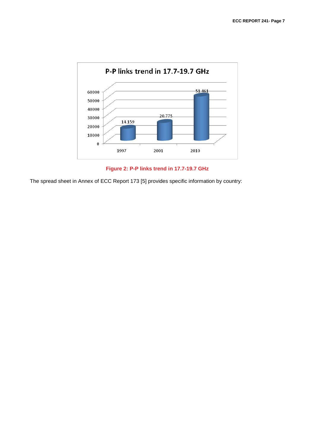

**Figure 2: P-P links trend in 17.7-19.7 GHz**

The spread sheet in Annex of ECC Report 173 [\[5\]](#page-40-6) provides specific information by country: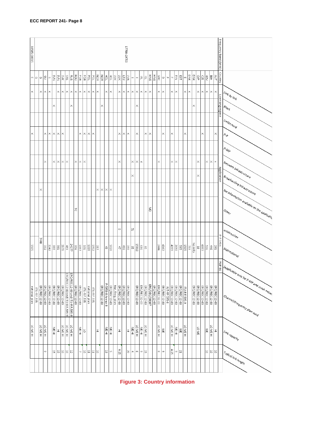| 18585-18815   |                   |              |              |               |                            |              |                 |                                                                    |          |              |                  |                |                   |                   |          |                     |                  |                   |                 |                     | 17700-19700       |              |       |                     |                         |                   |                |               |                     |                |                |                |                     |              |                  |            |              |                |                     |                     |                 |               | Frequency band (MHz) |                                                                                                                                             |
|---------------|-------------------|--------------|--------------|---------------|----------------------------|--------------|-----------------|--------------------------------------------------------------------|----------|--------------|------------------|----------------|-------------------|-------------------|----------|---------------------|------------------|-------------------|-----------------|---------------------|-------------------|--------------|-------|---------------------|-------------------------|-------------------|----------------|---------------|---------------------|----------------|----------------|----------------|---------------------|--------------|------------------|------------|--------------|----------------|---------------------|---------------------|-----------------|---------------|----------------------|---------------------------------------------------------------------------------------------------------------------------------------------|
| m             | ெ                 | Q            | ا≅           | $\omega$      | $\stackrel{\circ}{\ge}$    | Ιş           | $\frac{9}{2}$   | l≋                                                                 | ន្ត្រី   | Pec          | Ъğ               | FOR            | ļδ                | ļδ                | NOR<br>S | ਫ਼ੂ                 | For              | 후                 | Ιğ              | ∣ड़                 | E                 | ΣÂ           |       |                     | $\overline{\mathbb{P}}$ | ē                 | HING           | HING          | န္တ                 | $\hbox{ }$     | $\blacksquare$ | $\overline{1}$ | l≣                  | <b>EST</b>   | m                | <b>AND</b> | 9<br><       | 히              |                     | HRV                 | $\frac{1}{2}$   | ŠΗ            | Country              |                                                                                                                                             |
| $\times$      |                   | ×            | $\times$     | l×            |                            | $\times$     | $\times$        | $\times$                                                           | l×       | $\times$     | ×                | $\times$       | l×.               | l×.               | $\times$ |                     |                  | $\times$ $\times$ |                 | ×                   | $\mathbb{\times}$ | $\times$     | ×     | ×                   | $\times$                | $\mathbb{\times}$ | $\times$       |               | $\times$            | $\times$       |                | ×              | $\times$            |              | ×                | ×          |              | ×              | $\times$            | $\times$            | $\times$        | ×             |                      | $\frac{d^{l}h_{k}}{d\gamma}\frac{d\gamma}{d\eta_{k}}$                                                                                       |
|               |                   |              |              |               | ×                          |              |                 |                                                                    | $\times$ |              |                  |                |                   |                   |          | ×                   |                  |                   |                 |                     |                   |              |       | ×                   |                         |                   |                |               |                     |                |                |                |                     |              |                  |            | $\times$     |                |                     |                     |                 |               | Licensing regime     | $\epsilon_{\phi}$                                                                                                                           |
|               |                   |              |              |               |                            |              |                 |                                                                    |          |              |                  |                |                   |                   |          |                     |                  |                   |                 |                     |                   |              |       |                     |                         |                   |                |               |                     |                |                |                |                     |              |                  |            |              |                |                     |                     |                 |               |                      | Unlicensed                                                                                                                                  |
| ×             |                   |              | ×            | l×I           | $\times$ $\times$          |              | ×               |                                                                    |          |              | ×                | ×              | l×.               | $\times$          |          |                     |                  |                   |                 | ×                   | ×.                | $\times$     |       | $\times$            |                         | $\times$          | ×              |               |                     | $\times$       |                | $\times$       |                     |              | ×                |            |              |                | ×                   |                     |                 | $\times$      |                      | $\mathsf{A}_{\mathsf{A}}$                                                                                                                   |
|               |                   |              |              |               |                            |              |                 |                                                                    |          |              |                  |                |                   |                   |          |                     |                  |                   |                 |                     |                   |              |       |                     |                         |                   |                |               |                     |                |                |                |                     |              |                  |            |              |                |                     |                     |                 |               |                      | $\mathcal{A}_{\mathcal{M}_{\rho}}$                                                                                                          |
|               |                   |              | ×            |               | ×                          | l×           | ×               | $\times$                                                           |          | ×            | ×                | $\times$       |                   |                   |          |                     |                  |                   |                 | $\times$            |                   |              | ×     | l×.                 | ×                       |                   |                |               | ×                   |                |                | $\times$       | $\times$            |              |                  |            |              | $\times$       |                     | $\times$            | $\times$        | ×             |                      |                                                                                                                                             |
|               |                   |              |              |               |                            |              |                 |                                                                    |          |              |                  |                |                   |                   |          |                     |                  |                   |                 |                     |                   |              | ×     |                     |                         |                   |                |               |                     |                |                |                |                     |              |                  |            |              | $\times$       |                     |                     |                 |               | Application          | $ N_{e_{i}^{*}\textit{w}_{\textit{OF}_{i}}}\rangle_{\textit{Infrag}_{\textit{F}_{\textit{U}_{e}}\textit{U}_{\textit{F}_{\textit{V}_{e}}}}}$ |
|               |                   | ×            |              |               |                            |              |                 |                                                                    |          |              |                  |                |                   |                   |          | $\times$ $\times$   | $\times$         | l×                |                 |                     |                   |              |       |                     |                         |                   |                |               |                     |                |                |                |                     |              |                  |            |              |                |                     |                     |                 |               |                      | <b>Sroadcasting Infrastructure</b>                                                                                                          |
|               |                   |              |              |               |                            |              |                 |                                                                    |          |              |                  |                |                   |                   |          |                     |                  |                   |                 |                     |                   |              |       |                     |                         |                   |                |               |                     |                |                |                |                     |              |                  |            |              |                |                     |                     |                 |               |                      | [No Information available on the application                                                                                                |
|               |                   |              |              |               |                            |              |                 |                                                                    |          | ನ            |                  |                |                   |                   |          |                     |                  |                   |                 |                     |                   |              |       |                     |                         |                   | $\mathbb S$    |               |                     |                |                |                |                     |              |                  |            |              |                |                     |                     |                 |               |                      |                                                                                                                                             |
|               |                   |              |              |               |                            |              |                 |                                                                    |          |              |                  |                |                   |                   |          |                     |                  |                   |                 | $\circ$             |                   |              | Ч     |                     |                         |                   |                |               |                     |                |                |                |                     |              |                  |            |              |                |                     |                     |                 |               |                      | I <sup>Unidirection</sup>                                                                                                                   |
| 1505          |                   | <b>OPPZ</b>  | 332          | 2242          | $ \tilde{\mathbf{g}} _2^2$ |              |                 | $\frac{2427}{459}$                                                 |          | gg           | $\frac{1087}{2}$ | 131            | $rac{1220}{1220}$ | $\frac{1952}{2}$  | 787      |                     | $\omega$         | 1020              |                 | $\frac{47}{2}$      |                   | 이히히          |       | $\frac{686}{15812}$ |                         | ဒ                 |                |               | 2446                | $rac{62}{362}$ |                | 668tr          | 3650                |              | $rac{1505}{585}$ | 759        | No info      | $rac{683}{18}$ |                     | 38                  | $rac{361}{446}$ |               | P-P links            |                                                                                                                                             |
|               |                   |              |              |               |                            |              |                 |                                                                    |          |              |                  |                |                   |                   |          |                     |                  |                   |                 |                     |                   |              |       |                     |                         |                   |                |               |                     |                |                |                |                     |              |                  |            |              |                |                     |                     |                 |               |                      | $\vert$ bidirectional                                                                                                                       |
|               |                   |              |              |               |                            |              |                 |                                                                    |          |              |                  |                |                   |                   |          |                     |                  |                   |                 |                     |                   |              |       |                     |                         |                   |                |               |                     |                |                |                |                     |              |                  |            |              |                |                     |                     |                 |               | PMP BS               |                                                                                                                                             |
|               |                   |              |              |               |                            |              |                 | ERC/REC 12-03 and ITU-R F.595-9<br>ERC/REC 12-03 and ITU-R F.595-9 |          |              |                  |                |                   |                   |          |                     |                  |                   |                 |                     |                   |              |       |                     |                         |                   |                |               |                     |                |                |                |                     |              |                  |            |              |                |                     |                     |                 |               |                      | Andricable only for P MP and mesh network                                                                                                   |
| national plan | <b>ITU-RF.595</b> | ERC/REC12-03 | ERC/REC12-03 | ERC/REC 12-03 | ERC/REC12-03               | ERC/REC12-03 | ERC/REC12-03    |                                                                    |          | ERC/REC12-03 | ERC/REC12-03     | ITU-RF.595     | national plan     | <b>ITU-RE.595</b> |          | <b>ERC/REC12-03</b> | F-5958-8 Annex 8 | ERC/REC 12-03     | Nat. freq. plan | <b>ERC/REC12-03</b> | ERC/REC12-03      | ERC/REC12-03 |       | ERC/REC 12-03       | ERC/REC12-03            | ERC/REC 12-03     | FRC/DEC/(00)07 | ERC/REC 12-03 | <b>ERC/REC12-03</b> | ERC/REC12-03   | IUT-RF 595-8   | ERC/REC12-03   | <b>ERC/REC12-03</b> | ERC/REC12-03 | ITU-R F.595-9    |            | ERC/REC12-03 | ERC/REC12-03   | <b>ERC/REC12-03</b> | ERC/REC 12-03       | ERC/REC12-03    | ERC/REC 12-03 |                      |                                                                                                                                             |
|               |                   |              |              |               |                            |              |                 |                                                                    |          |              |                  |                |                   |                   |          |                     |                  |                   |                 |                     |                   |              |       |                     |                         |                   |                |               |                     |                |                |                |                     |              |                  |            |              |                |                     |                     |                 |               |                      | [Channel/Frequency plan used                                                                                                                |
|               |                   |              |              |               |                            |              |                 |                                                                    |          |              |                  |                |                   |                   |          |                     |                  |                   |                 |                     |                   |              |       |                     |                         |                   |                |               |                     |                |                |                |                     |              |                  |            |              |                |                     |                     |                 |               |                      |                                                                                                                                             |
| LO ME HI      |                   | LO ME HI     | LO ME HI     |               | NE HI                      | Ξ            | <b>LO ME HI</b> | LO ME HI                                                           | LO ME HI |              | ∏<br>E           | 5              |                   |                   | Ξ        |                     | NE HI            | NE HI             |                 | Ξ                   |                   | Ξ            | NE HI | <b>LO ME HI</b>     | NE HI                   | LO ME HI          |                |               | LO MEHI             | 즣              |                | LO ME HI       | NE H                | 즣            | LO ME HI         |            |              | <b>LO ME</b>   |                     | $\mathop{\leq}_{m}$ | LO ME HI        | Ξ             |                      | Link capacity                                                                                                                               |
|               |                   |              | Ġ.           |               | ă                          | 15           | 5               | 비리                                                                 |          |              | Ñ,               | $\overline{5}$ | ¦⊨                | $\frac{11}{2}$    | 5        |                     | ίä,              | сn.               |                 | $4 - 25$            |                   | 4 S          |       | $\sigma_{\rm i}$    | $\omega$                | 능                 |                |               | $\infty$            | $\omega$       |                | $4 - 25$       | G                   | 21           |                  |            |              |                |                     | 5                   | 비리              |               |                      | [Typical link length                                                                                                                        |
|               |                   |              |              |               |                            |              |                 |                                                                    |          |              |                  |                |                   |                   |          |                     |                  |                   |                 |                     |                   |              |       |                     |                         |                   |                |               |                     |                |                |                |                     |              |                  |            |              |                |                     |                     |                 |               |                      |                                                                                                                                             |

**Figure 3: Country information**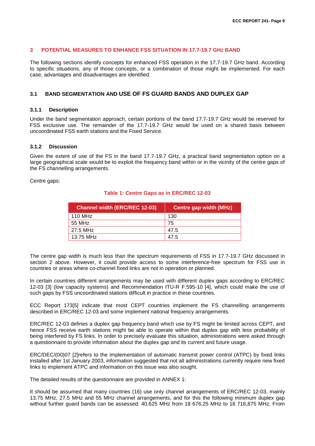#### <span id="page-8-0"></span>**3 POTENTIAL MEASURES TO ENHANCE FSS SITUATION IN 17.7-19.7 GHZ BAND**

The following sections identify concepts for enhanced FSS operation in the 17.7-19.7 GHz band. According to specific situations, any of those concepts, or a combination of those might be implemented. For each case, advantages and disadvantages are identified.

#### <span id="page-8-1"></span>**3.1 BAND SEGMENTATION AND USE OF FS GUARD BANDS AND DUPLEX GAP**

#### <span id="page-8-2"></span>**3.1.1 Description**

Under the band segmentation approach, certain portions of the band 17.7-19.7 GHz would be reserved for FSS exclusive use. The remainder of the 17.7-19.7 GHz would be used on a shared basis between uncoordinated FSS earth stations and the Fixed Service.

#### <span id="page-8-3"></span>**3.1.2 Discussion**

Given the extent of use of the FS in the band 17.7-19.7 GHz, a practical band segmentation option on a large geographical scale would be to exploit the frequency band within or in the vicinity of the centre gaps of the FS channelling arrangements.

Centre gaps:

#### **Table 1: Centre Gaps as in ERC/REC 12-03**

| <b>Channel width (ERC/REC 12-03)</b> | Centre gap width (MHz) |
|--------------------------------------|------------------------|
| 110 MHz                              | 130                    |
| 55 MHz                               | 75                     |
| 27.5 MHz                             | 47.5                   |
| 13.75 MHz                            | 47.5                   |

The centre gap width is much less than the spectrum requirements of FSS in 17.7-19.7 GHz discussed in section 2 above. However, it could provide access to some interference-free spectrum for FSS use in countries or areas where co-channel fixed links are not in operation or planned.

In certain countries different arrangements may be used with different duplex gaps according to ERC/REC 12-03 [\[3\]](#page-40-2) (low capacity systems) and Recommendation ITU-R F.595-10 [\[4\],](#page-40-5) which could make the use of such gaps by FSS uncoordinated stations difficult in practice in these countries.

ECC Report 17[3\[5\]](#page-40-6) indicate that most CEPT countries implement the FS channelling arrangements described in ERC/REC 12-03 and some implement national frequency arrangements.

ERC/REC 12-03 defines a duplex gap frequency band which use by FS might be limited across CEPT, and hence FSS receive earth stations might be able to operate within that duplex gap with less probability of being interfered by FS links. In order to precisely evaluate this situation, administrations were asked through a questionnaire to provide information about the duplex gap and its current and future usage.

ERC/DEC/(00)07 [\[2\]r](#page-40-1)efers to the implementation of automatic transmit power control (ATPC) by fixed links installed after 1st January 2003, information suggested that not all administrations currently require new fixed links to implement ATPC and information on this issue was also sought.

The detailed results of the questionnaire are provided in [ANNEX 1:](#page-23-0)

It should be assumed that many countries (16) use only channel arrangements of ERC/REC 12-03, mainly 13.75 MHz, 27.5 MHz and 55 MHz channel arrangements, and for this the following minimum duplex gap without further guard bands can be assessed: 40.625 MHz from 18 676,25 MHz to 18 716,875 MHz. From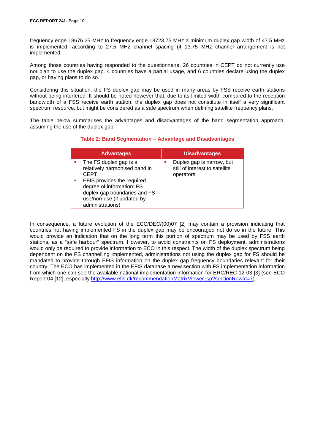frequency edge 18676.25 MHz to frequency edge 18723.75 MHz a minimum duplex gap width of 47.5 MHz is implemented, according to 27.5 MHz channel spacing (if 13.75 MHz channel arrangement is not implemented.

Among those countries having responded to the questionnaire, 26 countries in CEPT do not currently use nor plan to use the duplex gap. 4 countries have a partial usage, and 6 countries declare using the duplex gap, or having plans to do so.

Considering this situation, the FS duplex gap may be used in many areas by FSS receive earth stations without being interfered. It should be noted however that, due to its limited width compared to the reception bandwidth of a FSS receive earth station, the duplex gap does not constitute in itself a very significant spectrum resource, but might be considered as a safe spectrum when defining satellite frequency plans.

The table below summarises the advantages and disadvantages of the band segmentation approach, assuming the use of the duplex gap:

#### **Table 2: Band Segmentation – Advantage and Disadvantages**

| <b>Advantages</b>                                                                                                                                                                                             | <b>Disadvantages</b>                                                     |
|---------------------------------------------------------------------------------------------------------------------------------------------------------------------------------------------------------------|--------------------------------------------------------------------------|
| The FS duplex gap is a<br>relatively harmonised band in<br>CEPT.<br>EFIS provides the required<br>degree of information: FS<br>duplex gap boundaries and FS<br>use/non-use (if updated by<br>administrations) | Duplex gap is narrow, but<br>still of interest to satellite<br>operators |

In consequence, a future evolution of the ECC/DEC/(00)07 [\[2\]](#page-40-1) may contain a provision indicating that countries not having implemented FS in the duplex gap may be encouraged not do so in the future. This would provide an indication that on the long term this portion of spectrum may be used by FSS earth stations, as a "safe harbour" spectrum. However, to avoid constraints on FS deployment, administrations would only be required to provide information to ECO in this respect. The width of the duplex spectrum being dependent on the FS channelling implemented, administrations not using the duplex gap for FS should be mandated to provide through EFIS information on the duplex gap frequency boundaries relevant for their country. The ECO has implemented in the EFIS database a new section with FS implementation information from which one can see the available national implementation information for ERC/REC 12-03 [\[3\]](#page-40-2) (see ECO Report 04 [12], especially [http://www.efis.dk/recommendationMatrixViewer.jsp?sectionRowId=7\)](http://www.efis.dk/recommendationMatrixViewer.jsp?sectionRowId=7).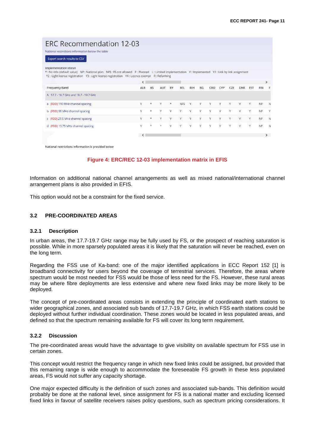# **ERC Recommendation 12-03**

| *: No info (default value) NP: National plan NFS: FS not allowed P: Planned L: Limited implementation Y: Implemented Y1: Link by link assignment |                          |                         |            |          |            |     |    |        |            |     |            |            |               |          |
|--------------------------------------------------------------------------------------------------------------------------------------------------|--------------------------|-------------------------|------------|----------|------------|-----|----|--------|------------|-----|------------|------------|---------------|----------|
| Y2 : Light license registration Y3 : Light license registration Y4 : Licence-exempt R : Refarming                                                |                          |                         |            |          |            |     |    |        |            |     |            |            |               |          |
|                                                                                                                                                  | $\overline{\phantom{a}}$ |                         |            |          |            |     |    |        |            |     |            |            | $\rightarrow$ |          |
| <b>Frequency Band</b>                                                                                                                            | ALB                      | AS                      | <b>AUT</b> | BY       | <b>BEL</b> | BIH | BG | CRO    | <b>CYP</b> | CZE | <b>DNK</b> | <b>EST</b> | <b>FIN</b>    | Æ        |
| A 17.7 - 18.7 GHz and 18.7 - 19.7 GHz                                                                                                            |                          |                         |            |          |            |     |    |        |            |     |            |            |               |          |
| a (FDD) 110 MHz channel spacing                                                                                                                  | Y                        | $\star$                 | Y          | $^\star$ | <b>NFS</b> | Y   | Y  |        | γ          | Υ   | Y          | Y          | <b>NP</b>     | <b>N</b> |
| b (FDD) 55 MHz channel spacing                                                                                                                   | Y                        | $\star$                 | γ          | Y        | v          | Y   | v  |        | Ÿ          | v   | v          | Y          | NP.           | Y        |
| c (FDD) 27.5 MHz channel spacing                                                                                                                 | Y                        | $\star$                 | Y          | Y        | Y          | Y   | Y  | v      | Y          | Υ   | Υ          | Y          | <b>NP</b>     | N        |
| d (FDD) 13.75 MHz channel spacing                                                                                                                | Y                        | $\frac{d}{d\mathbf{k}}$ | $\star$    | V        | v          | Y   | v  | $\vee$ | $\vee$     | Ÿ   | v          | $\vee$     | <b>NP</b>     | N        |

National restrictions information is provided below

#### **Figure 4: ERC/REC 12-03 implementation matrix in EFIS**

Information on additional national channel arrangements as well as mixed national/international channel arrangement plans is also provided in EFIS.

This option would not be a constraint for the fixed service.

#### <span id="page-10-0"></span>**3.2 PRE-COORDINATED AREAS**

#### <span id="page-10-1"></span>**3.2.1 Description**

In urban areas, the 17.7-19.7 GHz range may be fully used by FS, or the prospect of reaching saturation is possible. While in more sparsely populated areas it is likely that the saturation will never be reached, even on the long term.

Regarding the FSS use of Ka-band: one of the major identified applications in ECC Report 152 [\[1\]](#page-40-0) is broadband connectivity for users beyond the coverage of terrestrial services. Therefore, the areas where spectrum would be most needed for FSS would be those of less need for the FS. However, these rural areas may be where fibre deployments are less extensive and where new fixed links may be more likely to be deployed.

The concept of pre-coordinated areas consists in extending the principle of coordinated earth stations to wider geographical zones, and associated sub bands of 17.7-19.7 GHz, in which FSS earth stations could be deployed without further individual coordination. These zones would be located in less populated areas, and defined so that the spectrum remaining available for FS will cover its long term requirement.

#### <span id="page-10-2"></span>**3.2.2 Discussion**

The pre-coordinated areas would have the advantage to give visibility on available spectrum for FSS use in certain zones.

This concept would restrict the frequency range in which new fixed links could be assigned, but provided that this remaining range is wide enough to accommodate the foreseeable FS growth in these less populated areas, FS would not suffer any capacity shortage.

One major expected difficulty is the definition of such zones and associated sub-bands. This definition would probably be done at the national level, since assignment for FS is a national matter and excluding licensed fixed links in favour of satellite receivers raises policy questions, such as spectrum pricing considerations. It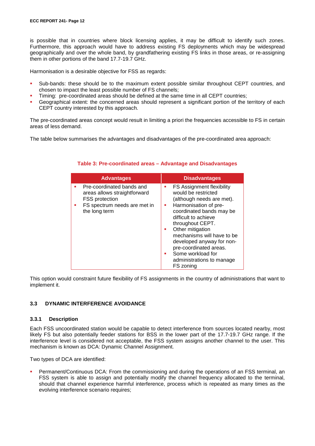is possible that in countries where block licensing applies, it may be difficult to identify such zones. Furthermore, this approach would have to address existing FS deployments which may be widespread geographically and over the whole band, by grandfathering existing FS links in those areas, or re-assigning them in other portions of the band 17.7-19.7 GHz.

Harmonisation is a desirable objective for FSS as regards:

- Sub-bands: these should be to the maximum extent possible similar throughout CEPT countries, and chosen to impact the least possible number of FS channels;
- Timing: pre-coordinated areas should be defined at the same time in all CEPT countries;
- Geographical extent: the concerned areas should represent a significant portion of the territory of each CEPT country interested by this approach.

The pre-coordinated areas concept would result in limiting a priori the frequencies accessible to FS in certain areas of less demand.

The table below summarises the advantages and disadvantages of the pre-coordinated area approach:

| <b>Advantages</b>                                                                                                            | <b>Disadvantages</b>                                                                                                                                                                                                                                                                                                                                                        |
|------------------------------------------------------------------------------------------------------------------------------|-----------------------------------------------------------------------------------------------------------------------------------------------------------------------------------------------------------------------------------------------------------------------------------------------------------------------------------------------------------------------------|
| Pre-coordinated bands and<br>areas allows straightforward<br>FSS protection<br>FS spectrum needs are met in<br>the long term | FS Assignment flexibility<br>ш<br>would be restricted<br>(although needs are met).<br>Harmonisation of pre-<br>a.<br>coordinated bands may be<br>difficult to achieve<br>throughout CEPT.<br>Other mitigation<br>٠<br>mechanisms will have to be<br>developed anyway for non-<br>pre-coordinated areas.<br>Some workload for<br>٠<br>administrations to manage<br>FS zoning |

#### **Table 3: Pre-coordinated areas – Advantage and Disadvantages**

This option would constraint future flexibility of FS assignments in the country of administrations that want to implement it.

#### <span id="page-11-0"></span>**3.3 DYNAMIC INTERFERENCE AVOIDANCE**

#### <span id="page-11-1"></span>**3.3.1 Description**

Each FSS uncoordinated station would be capable to detect interference from sources located nearby, most likely FS but also potentially feeder stations for BSS in the lower part of the 17.7-19.7 GHz range. If the interference level is considered not acceptable, the FSS system assigns another channel to the user. This mechanism is known as DCA: Dynamic Channel Assignment.

Two types of DCA are identified:

 Permanent/Continuous DCA: From the commissioning and during the operations of an FSS terminal, an FSS system is able to assign and potentially modify the channel frequency allocated to the terminal, should that channel experience harmful interference, process which is repeated as many times as the evolving interference scenario requires;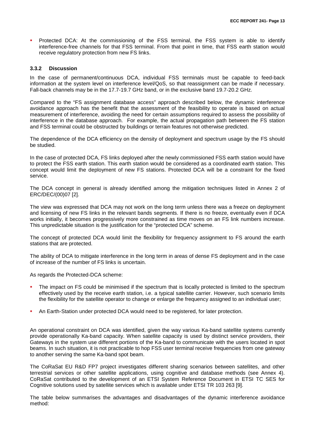Protected DCA: At the commissioning of the FSS terminal, the FSS system is able to identify interference-free channels for that FSS terminal. From that point in time, that FSS earth station would receive regulatory protection from new FS links.

#### <span id="page-12-0"></span>**3.3.2 Discussion**

In the case of permanent/continuous DCA, individual FSS terminals must be capable to feed-back information at the system level on interference level/QoS, so that reassignment can be made if necessary. Fall-back channels may be in the 17.7-19.7 GHz band, or in the exclusive band 19.7-20.2 GHz.

Compared to the "FS assignment database access" approach described below, the dynamic interference avoidance approach has the benefit that the assessment of the feasibility to operate is based on actual measurement of interference, avoiding the need for certain assumptions required to assess the possibility of interference in the database approach. For example, the actual propagation path between the FS station and FSS terminal could be obstructed by buildings or terrain features not otherwise predicted.

The dependence of the DCA efficiency on the density of deployment and spectrum usage by the FS should be studied.

In the case of protected DCA, FS links deployed after the newly commissioned FSS earth station would have to protect the FSS earth station. This earth station would be considered as a coordinated earth station. This concept would limit the deployment of new FS stations. Protected DCA will be a constraint for the fixed service.

The DCA concept in general is already identified among the mitigation techniques listed in Annex 2 of ERC/DEC/(00)07 [\[2\].](#page-40-1)

The view was expressed that DCA may not work on the long term unless there was a freeze on deployment and licensing of new FS links in the relevant bands segments. If there is no freeze, eventually even if DCA works initially, it becomes progressively more constrained as time moves on an FS link numbers increase. This unpredictable situation is the justification for the "protected DCA" scheme.

The concept of protected DCA would limit the flexibility for frequency assignment to FS around the earth stations that are protected.

The ability of DCA to mitigate interference in the long term in areas of dense FS deployment and in the case of increase of the number of FS links is uncertain.

As regards the Protected-DCA scheme:

- The impact on FS could be minimised if the spectrum that is locally protected is limited to the spectrum effectively used by the receive earth station, i.e. a typical satellite carrier. However, such scenario limits the flexibility for the satellite operator to change or enlarge the frequency assigned to an individual user;
- An Earth-Station under protected DCA would need to be registered, for later protection.

An operational constraint on DCA was identified, given the way various Ka-band satellite systems currently provide operationally Ka-band capacity. When satellite capacity is used by distinct service providers, their Gateways in the system use different portions of the Ka-band to communicate with the users located in spot beams. In such situation, it is not practicable to hop FSS user terminal receive frequencies from one gateway to another serving the same Ka-band spot beam.

The CoRaSat EU R&D FP7 project investigates different sharing scenarios between satellites, and other terrestrial services or other satellite applications, using cognitive and database methods (see Annex 4). CoRaSat contributed to the development of an ETSI System Reference Document in ETSI TC SES for Cognitive solutions used by satellite services which is available under ETSI TR 103 263 [\[9\].](#page-40-7)

The table below summarises the advantages and disadvantages of the dynamic interference avoidance method: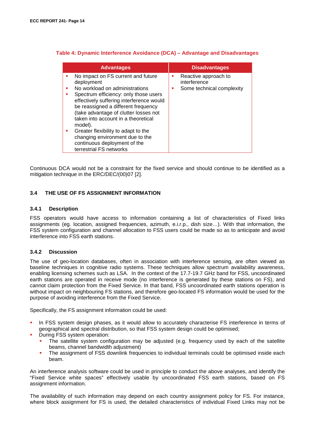| <b>Advantages</b>                                                                                                                                                                                                                                                                                                                                                                                                                                        | <b>Disadvantages</b>                                              |
|----------------------------------------------------------------------------------------------------------------------------------------------------------------------------------------------------------------------------------------------------------------------------------------------------------------------------------------------------------------------------------------------------------------------------------------------------------|-------------------------------------------------------------------|
| No impact on FS current and future<br>deployment<br>No workload on administrations<br>ш<br>Spectrum efficiency: only those users<br>effectively suffering interference would<br>be reassigned a different frequency<br>(take advantage of clutter losses not<br>taken into account in a theoretical<br>model).<br>Greater flexibility to adapt to the<br>ш<br>changing environment due to the<br>continuous deployment of the<br>terrestrial FS networks | Reactive approach to<br>interference<br>Some technical complexity |

#### **Table 4: Dynamic Interference Avoidance (DCA) – Advantage and Disadvantages**

Continuous DCA would not be a constraint for the fixed service and should continue to be identified as a mitigation technique in the ERC/DEC/(00)07 [\[2\].](#page-40-1)

#### <span id="page-13-0"></span>**3.4 THE USE OF FS ASSIGNMENT INFORMATION**

#### <span id="page-13-1"></span>**3.4.1 Description**

FSS operators would have access to information containing a list of characteristics of Fixed links assignments (eg. location, assigned frequencies, azimuth, e.i.r.p., dish size…). With that information, the FSS system configuration and channel allocation to FSS users could be made so as to anticipate and avoid interference into FSS earth stations.

#### <span id="page-13-2"></span>**3.4.2 Discussion**

The use of geo-location databases, often in association with interference sensing, are often viewed as baseline techniques in cognitive radio systems. These techniques allow spectrum availability awareness, enabling licensing schemes such as LSA. In the context of the 17.7-19.7 GHz band for FSS, uncoordinated earth stations are operated in receive mode (no interference is generated by these stations on FS), and cannot claim protection from the Fixed Service. In that band, FSS uncoordinated earth stations operation is without impact on neighbouring FS stations, and therefore geo-located FS information would be used for the purpose of avoiding interference from the Fixed Service.

Specifically, the FS assignment information could be used:

- In FSS system design phases, as it would allow to accurately characterise FS interference in terms of geographical and spectral distribution, so that FSS system design could be optimised;
- During FSS system operation:
	- The satellite system configuration may be adjusted (e.g. frequency used by each of the satellite beams, channel bandwidth adjustment)
	- **The assignment of FSS downlink frequencies to individual terminals could be optimised inside each** beam.

An interference analysis software could be used in principle to conduct the above analyses, and identify the "Fixed Service white spaces" effectively usable by uncoordinated FSS earth stations, based on FS assignment information.

The availability of such information may depend on each country assignment policy for FS. For instance, where block assignment for FS is used, the detailed characteristics of individual Fixed Links may not be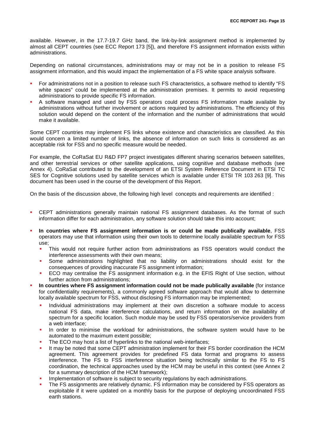available. However, in the 17.7-19.7 GHz band, the link-by-link assignment method is implemented by almost all CEPT countries (see ECC Report 173 [\[5\]\)](#page-40-6), and therefore FS assignment information exists within administrations.

Depending on national circumstances, administrations may or may not be in a position to release FS assignment information, and this would impact the implementation of a FS white space analysis software.

- For administrations not in a position to release such FS characteristics, a software method to identify "FS white spaces" could be implemented at the administration premises. It permits to avoid requesting administrations to provide specific FS information.
- A software managed and used by FSS operators could process FS information made available by administrations without further involvement or actions required by administrations. The efficiency of this solution would depend on the content of the information and the number of administrations that would make it available.

Some CEPT countries may implement FS links whose existence and characteristics are classified. As this would concern a limited number of links, the absence of information on such links is considered as an acceptable risk for FSS and no specific measure would be needed.

For example, the CoRaSat EU R&D FP7 project investigates different sharing scenarios between satellites, and other terrestrial services or other satellite applications, using cognitive and database methods (see Annex 4). CoRaSat contributed to the development of an ETSI System Reference Document in ETSI TC SES for Cognitive solutions used by satellite services which is available under ETSI TR 103 263 [\[9\].](#page-40-7) This document has been used in the course of the development of this Report.

On the basis of the discussion above, the following high level concepts and requirements are identified :

- CEPT administrations generally maintain national FS assignment databases. As the format of such information differ for each administration, any software solution should take this into account;
- **In countries where FS assignment information is or could be made publically available**, FSS operators may use that information using their own tools to determine locally available spectrum for FSS use;
	- This would not require further action from administrations as FSS operators would conduct the interference assessments with their own means;
	- Some administrations highlighted that no liability on administrations should exist for the consequences of providing inaccurate FS assignment information;
	- ECO may centralise the FS assignment information e.g. in the EFIS Right of Use section, without further action from administrations;
- **In countries where FS assignment information could not be made publically available** (for instance for confidentiality requirements), a commonly agreed software approach that would allow to determine locally available spectrum for FSS, without disclosing FS information may be implemented;
	- Individual administrations may implement at their own discretion a software module to access national FS data, make interference calculations, and return information on the availability of spectrum for a specific location. Such module may be used by FSS operators/service providers from a web interface;
	- In order to minimise the workload for administrations, the software system would have to be automated to the maximum extent possible;
	- The ECO may host a list of hyperlinks to the national web-interfaces;
	- It may be noted that some CEPT administration implement for their FS border coordination the HCM agreement. This agreement provides for predefined FS data format and programs to assess interference. The FS to FSS interference situation being technically similar to the FS to FS coordination, the technical approaches used by the HCM may be useful in this context (see Annex 2 for a summary description of the HCM framework);
	- Implementation of software is subject to security regulations by each administrations.
	- The FS assignments are relatively dynamic. FS information may be considered by FSS operators as exploitable if it were updated on a monthly basis for the purpose of deploying uncoordinated FSS earth stations.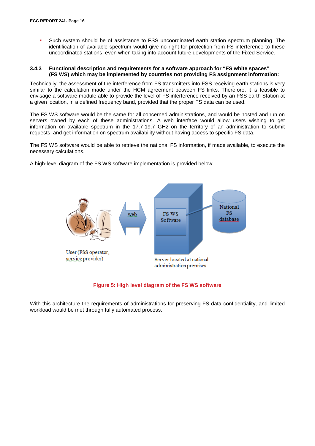Such system should be of assistance to FSS uncoordinated earth station spectrum planning. The identification of available spectrum would give no right for protection from FS interference to these uncoordinated stations, even when taking into account future developments of the Fixed Service.

#### <span id="page-15-0"></span>**3.4.3 Functional description and requirements for a software approach for "FS white spaces" (FS WS) which may be implemented by countries not providing FS assignment information:**

Technically, the assessment of the interference from FS transmitters into FSS receiving earth stations is very similar to the calculation made under the HCM agreement between FS links. Therefore, it is feasible to envisage a software module able to provide the level of FS interference received by an FSS earth Station at a given location, in a defined frequency band, provided that the proper FS data can be used.

The FS WS software would be the same for all concerned administrations, and would be hosted and run on servers owned by each of these administrations. A web interface would allow users wishing to get information on available spectrum in the 17.7-19.7 GHz on the territory of an administration to submit requests, and get information on spectrum availability without having access to specific FS data.

The FS WS software would be able to retrieve the national FS information, if made available, to execute the necessary calculations.

A high-level diagram of the FS WS software implementation is provided below:



#### **Figure 5: High level diagram of the FS WS software**

With this architecture the requirements of administrations for preserving FS data confidentiality, and limited workload would be met through fully automated process.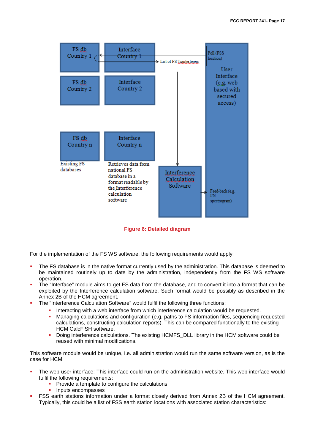

**Figure 6: Detailed diagram**

For the implementation of the FS WS software, the following requirements would apply:

- The FS database is in the native format currently used by the administration. This database is deemed to be maintained routinely up to date by the administration, independently from the FS WS software operation.
- The "Interface" module aims to get FS data from the database, and to convert it into a format that can be exploited by the Interference calculation software. Such format would be possibly as described in the Annex 2B of the HCM agreement.
- The "Interference Calculation Software" would fulfil the following three functions:
	- Interacting with a web interface from which interference calculation would be requested.<br>In Managing calculations and configuration (e.g. paths to ES information files, sequencing
	- Managing calculations and configuration (e.g. paths to FS information files, sequencing requested calculations, constructing calculation reports). This can be compared functionally to the existing HCM CalcFiSH software.
	- Doing interference calculations. The existing HCMFS\_DLL library in the HCM software could be reused with minimal modifications.

This software module would be unique, i.e. all administration would run the same software version, as is the case for HCM.

- The web user interface: This interface could run on the administration website. This web interface would fulfil the following requirements:
	- **Provide a template to configure the calculations**
	- **Inputs encompasses**
- FSS earth stations information under a format closely derived from Annex 2B of the HCM agreement. Typically, this could be a list of FSS earth station locations with associated station characteristics: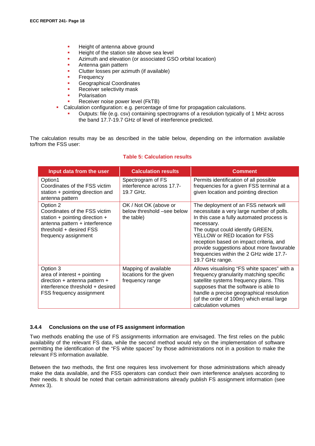- Height of antenna above ground
- Height of the station site above sea level
- Azimuth and elevation (or associated GSO orbital location)
- Antenna gain pattern
- Clutter losses per azimuth (if available)
- **Frequency**
- Geographical Coordinates
- Receiver selectivity mask
- Polarisation
- Receiver noise power level (FkTB)
- Calculation configuration: e.g. percentage of time for propagation calculations.
	- Outputs: file (e.g. csv) containing spectrograms of a resolution typically of 1 MHz across the band 17.7-19.7 GHz of level of interference predicted.

The calculation results may be as described in the table below, depending on the information available to/from the FSS user:

#### **Table 5: Calculation results**

| Input data from the user                                                                                                                                         | <b>Calculation results</b>                                         | Comment                                                                                                                                                                                                                                                                                                                                                                   |
|------------------------------------------------------------------------------------------------------------------------------------------------------------------|--------------------------------------------------------------------|---------------------------------------------------------------------------------------------------------------------------------------------------------------------------------------------------------------------------------------------------------------------------------------------------------------------------------------------------------------------------|
| Option1<br>Coordinates of the FSS victim<br>station + pointing direction and<br>antenna pattern                                                                  | Spectrogram of FS<br>interference across 17.7-<br>19.7 GHz.        | Permits identification of all possible<br>frequencies for a given FSS terminal at a<br>given location and pointing direction                                                                                                                                                                                                                                              |
| Option 2<br>Coordinates of the FSS victim<br>station + pointing direction +<br>antenna pattern + interference<br>threshold + desired FSS<br>frequency assignment | OK / Not OK (above or<br>below threshold -see below<br>the table)  | The deployment of an FSS network will<br>necessitate a very large number of polls.<br>In this case a fully automated process is<br>necessary.<br>The output could identify GREEN,<br>YELLOW or RED location for FSS<br>reception based on impact criteria, and<br>provide suggestions about more favourable<br>frequencies within the 2 GHz wide 17.7-<br>19.7 GHz range. |
| Option 3<br>area of interest + pointing<br>direction + antenna pattern +<br>interference threshold + desired<br>FSS frequency assignment                         | Mapping of available<br>locations for the given<br>frequency range | Allows visualising "FS white spaces" with a<br>frequency granularity matching specific<br>satellite systems frequency plans. This<br>supposes that the software is able to<br>handle a precise geographical resolution<br>(of the order of 100m) which entail large<br>calculation volumes                                                                                |

#### <span id="page-17-0"></span>**3.4.4 Conclusions on the use of FS assignment information**

Two methods enabling the use of FS assignments information are envisaged. The first relies on the public availability of the relevant FS data, while the second method would rely on the implementation of software permitting the identification of the "FS white spaces" by those administrations not in a position to make the relevant FS information available.

Between the two methods, the first one requires less involvement for those administrations which already make the data available, and the FSS operators can conduct their own interference analyses according to their needs. It should be noted that certain administrations already publish FS assignment information (see Annex 3).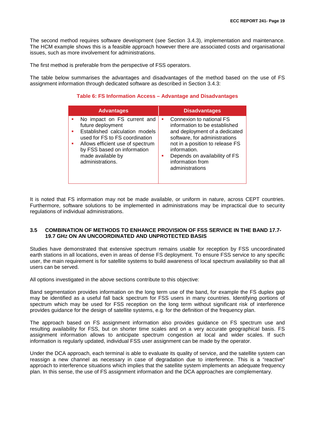The second method requires software development (see Section 3.4.3), implementation and maintenance. The HCM example shows this is a feasible approach however there are associated costs and organisational issues, such as more involvement for administrations.

The first method is preferable from the perspective of FSS operators.

The table below summarises the advantages and disadvantages of the method based on the use of FS assignment information through dedicated software as described in Section 3.4.3:

#### **Table 6: FS Information Access – Advantage and Disadvantages**

| <b>Advantages</b>                                                                                                                                                                                                                | <b>Disadvantages</b>                                                                                                                                                                                                                                        |
|----------------------------------------------------------------------------------------------------------------------------------------------------------------------------------------------------------------------------------|-------------------------------------------------------------------------------------------------------------------------------------------------------------------------------------------------------------------------------------------------------------|
| No impact on FS current and<br>future deployment<br>Established calculation models<br>used for FS to FS coordination<br>Allows efficient use of spectrum<br>by FSS based on information<br>made available by<br>administrations. | Connexion to national FS<br>٠<br>information to be established<br>and deployment of a dedicated<br>software, for administrations<br>not in a position to release FS<br>information.<br>Depends on availability of FS<br>information from<br>administrations |

It is noted that FS information may not be made available, or uniform in nature, across CEPT countries. Furthermore, software solutions to be implemented in administrations may be impractical due to security regulations of individual administrations.

#### <span id="page-18-0"></span>**3.5 COMBINATION OF METHODS TO ENHANCE PROVISION OF FSS SERVICE IN THE BAND 17.7- 19.7 GHZ ON AN UNCOORDINATED AND UNPROTECTED BASIS**

Studies have demonstrated that extensive spectrum remains usable for reception by FSS uncoordinated earth stations in all locations, even in areas of dense FS deployment. To ensure FSS service to any specific user, the main requirement is for satellite systems to build awareness of local spectrum availability so that all users can be served.

All options investigated in the above sections contribute to this objective:

Band segmentation provides information on the long term use of the band, for example the FS duplex gap may be identified as a useful fall back spectrum for FSS users in many countries. Identifying portions of spectrum which may be used for FSS reception on the long term without significant risk of interference provides guidance for the design of satellite systems, e.g. for the definition of the frequency plan.

The approach based on FS assignment information also provides guidance on FS spectrum use and resulting availability for FSS, but on shorter time scales and on a very accurate geographical basis. FS assignment information allows to anticipate spectrum congestion at local and wider scales. If such information is regularly updated, individual FSS user assignment can be made by the operator.

Under the DCA approach, each terminal is able to evaluate its quality of service, and the satellite system can reassign a new channel as necessary in case of degradation due to interference. This is a "reactive" approach to interference situations which implies that the satellite system implements an adequate frequency plan. In this sense, the use of FS assignment information and the DCA approaches are complementary.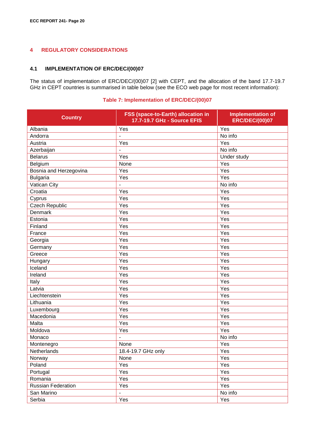# <span id="page-19-0"></span>**4 REGULATORY CONSIDERATIONS**

#### <span id="page-19-1"></span>**4.1 IMPLEMENTATION OF ERC/DEC/(00)07**

The status of implementation of ERC/DEC/(00)07 [\[2\]](#page-40-1) with CEPT, and the allocation of the band 17.7-19.7 GHz in CEPT countries is summarised in table below (see the ECO web page for most recent information):

#### **Table 7: Implementation of ERC/DEC/(00)07**

| <b>Country</b>         | FSS (space-to-Earth) allocation in<br>17.7-19.7 GHz - Source EFIS | <b>Implementation of</b><br><b>ERC/DEC/(00)07</b> |
|------------------------|-------------------------------------------------------------------|---------------------------------------------------|
| Albania                | Yes                                                               | Yes                                               |
| Andorra                |                                                                   | No info                                           |
| Austria                | Yes                                                               | Yes                                               |
| Azerbaijan             |                                                                   | No info                                           |
| <b>Belarus</b>         | Yes                                                               | Under study                                       |
| Belgium                | None                                                              | Yes                                               |
| Bosnia and Herzegovina | Yes                                                               | Yes                                               |
| <b>Bulgaria</b>        | Yes                                                               | Yes                                               |
| Vatican City           | -                                                                 | No info                                           |
| Croatia                | Yes                                                               | Yes                                               |
| Cyprus                 | Yes                                                               | Yes                                               |
| <b>Czech Republic</b>  | Yes                                                               | Yes                                               |
| Denmark                | Yes                                                               | Yes                                               |
| Estonia                | Yes                                                               | Yes                                               |
| Finland                | Yes                                                               | Yes                                               |
| France                 | Yes                                                               | Yes                                               |
| Georgia                | Yes                                                               | Yes                                               |
| Germany                | Yes                                                               | Yes                                               |
| Greece                 | Yes                                                               | Yes                                               |
| Hungary                | Yes                                                               | Yes                                               |
| Iceland                | Yes                                                               | Yes                                               |
| Ireland                | Yes                                                               | Yes                                               |
| Italy                  | Yes                                                               | Yes                                               |
| Latvia                 | Yes                                                               | Yes                                               |
| Liechtenstein          | Yes                                                               | Yes                                               |
| Lithuania              | Yes                                                               | Yes                                               |
| Luxembourg             | Yes                                                               | Yes                                               |
| Macedonia              | Yes                                                               | Yes                                               |
| Malta                  | Yes                                                               | Yes                                               |
| Moldova                | Yes                                                               | Yes                                               |
| Monaco                 |                                                                   | No info                                           |
| Montenegro             | None                                                              | Yes                                               |
| Netherlands            | 18.4-19.7 GHz only                                                | Yes                                               |
| Norway                 | None                                                              | Yes                                               |
| Poland                 | Yes                                                               | Yes                                               |
| Portugal               | Yes                                                               | Yes                                               |
| Romania                | Yes                                                               | Yes                                               |
| Russian Federation     | Yes                                                               | Yes                                               |
| San Marino             | $\overline{\phantom{a}}$                                          | No info                                           |
| Serbia                 | Yes                                                               | Yes                                               |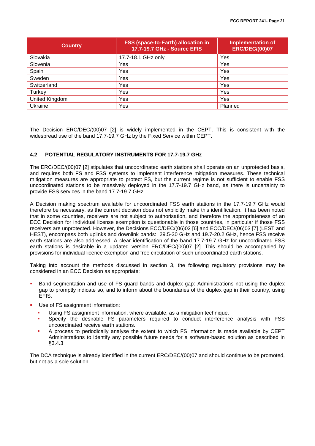| <b>Country</b> | FSS (space-to-Earth) allocation in<br><b>17.7-19.7 GHz - Source EFIS</b> | <b>Implementation of</b><br><b>ERC/DEC/(00)07</b> |
|----------------|--------------------------------------------------------------------------|---------------------------------------------------|
| Slovakia       | 17.7-18.1 GHz only                                                       | Yes                                               |
| Slovenia       | Yes                                                                      | Yes                                               |
| Spain          | Yes                                                                      | Yes                                               |
| Sweden         | Yes                                                                      | Yes                                               |
| Switzerland    | Yes                                                                      | Yes                                               |
| Turkey         | Yes                                                                      | Yes                                               |
| United Kingdom | Yes                                                                      | Yes                                               |
| Ukraine        | Yes                                                                      | Planned                                           |

The Decision ERC/DEC/(00)07 [\[2\]](#page-40-1) is widely implemented in the CEPT. This is consistent with the widespread use of the band 17.7-19.7 GHz by the Fixed Service within CEPT.

#### <span id="page-20-0"></span>**4.2 POTENTIAL REGULATORY INSTRUMENTS FOR 17.7-19.7 GHz**

The ERC/DEC/(00)07 [\[2\]](#page-40-1) stipulates that uncoordinated earth stations shall operate on an unprotected basis, and requires both FS and FSS systems to implement interference mitigation measures. These technical mitigation measures are appropriate to protect FS, but the current regime is not sufficient to enable FSS uncoordinated stations to be massively deployed in the 17.7-19.7 GHz band, as there is uncertainty to provide FSS services in the band 17.7-19.7 GHz.

A Decision making spectrum available for uncoordinated FSS earth stations in the 17.7-19.7 GHz would therefore be necessary, as the current decision does not explicitly make this identification. It has been noted that in some countries, receivers are not subject to authorisation, and therefore the appropriateness of an ECC Decision for individual license exemption is questionable in those countries, in particular if those FSS receivers are unprotected. However, the Decisions ECC/DEC/(06)02 [\[6\]](#page-40-8) and ECC/DEC/(06)03 [\[7\]](#page-40-9) (LEST and HEST), encompass both uplinks and downlink bands: 29.5-30 GHz and 19.7-20.2 GHz, hence FSS receive earth stations are also addressed .A clear identification of the band 17.7-19.7 GHz for uncoordinated FSS earth stations is desirable in a updated version ERC/DEC/(00)07 [\[2\].](#page-40-1) This should be accompanied by provisions for individual licence exemption and free circulation of such uncoordinated earth stations.

Taking into account the methods discussed in section 3, the following regulatory provisions may be considered in an ECC Decision as appropriate:

- Band segmentation and use of FS guard bands and duplex gap: Administrations not using the duplex gap to promptly indicate so, and to inform about the boundaries of the duplex gap in their country, using EFIS.
- Use of FS assignment information:
	- Using FS assignment information, where available, as a mitigation technique.
	- Specify the desirable FS parameters required to conduct interference analysis with FSS uncoordinated receive earth stations.
	- A process to periodically analyse the extent to which FS information is made available by CEPT Administrations to identify any possible future needs for a software-based solution as described in §3.4.3

The DCA technique is already identified in the current ERC/DEC/(00)07 and should continue to be promoted, but not as a sole solution.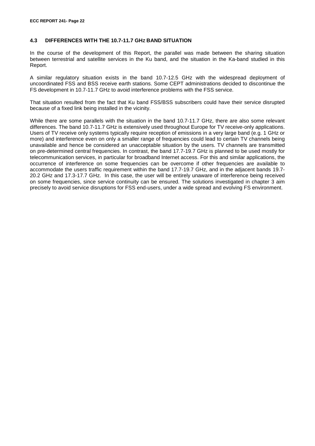#### <span id="page-21-0"></span>**4.3 DIFFERENCES WITH THE 10.7-11.7 GHZ BAND SITUATION**

In the course of the development of this Report, the parallel was made between the sharing situation between terrestrial and satellite services in the Ku band, and the situation in the Ka-band studied in this Report.

A similar regulatory situation exists in the band 10.7-12.5 GHz with the widespread deployment of uncoordinated FSS and BSS receive earth stations. Some CEPT administrations decided to discontinue the FS development in 10.7-11.7 GHz to avoid interference problems with the FSS service.

That situation resulted from the fact that Ku band FSS/BSS subscribers could have their service disrupted because of a fixed link being installed in the vicinity.

While there are some parallels with the situation in the band 10.7-11.7 GHz, there are also some relevant differences. The band 10.7-11.7 GHz is extensively used throughout Europe for TV receive-only applications. Users of TV receive only systems typically require reception of emissions in a very large band (e.g. 1 GHz or more) and interference even on only a smaller range of frequencies could lead to certain TV channels being unavailable and hence be considered an unacceptable situation by the users. TV channels are transmitted on pre-determined central frequencies. In contrast, the band 17.7-19.7 GHz is planned to be used mostly for telecommunication services, in particular for broadband Internet access. For this and similar applications, the occurrence of interference on some frequencies can be overcome if other frequencies are available to accommodate the users traffic requirement within the band 17.7-19.7 GHz, and in the adjacent bands 19.7- 20.2 GHz and 17.3-17.7 GHz. In this case, the user will be entirely unaware of interference being received on some frequencies, since service continuity can be ensured. The solutions investigated in chapter 3 aim precisely to avoid service disruptions for FSS end-users, under a wide spread and evolving FS environment.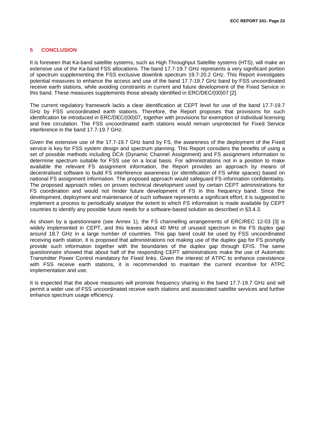#### <span id="page-22-0"></span>**5 CONCLUSION**

It is foreseen that Ka-band satellite systems, such as High Throughput Satellite systems (HTS), will make an extensive use of the Ka-band FSS allocations. The band 17.7-19.7 GHz represents a very significant portion of spectrum supplementing the FSS exclusive downlink spectrum 19.7-20.2 GHz. This Report investigates potential measures to enhance the access and use of the band 17.7-19.7 GHz band by FSS uncoordinated receive earth stations, while avoiding constraints in current and future development of the Fixed Service in this band. These measures supplements those already identified in ERC/DEC/(00)07 [\[2\].](#page-40-1)

The current regulatory framework lacks a clear identification at CEPT level for use of the band 17.7-19.7 GHz by FSS uncoordinated earth stations. Therefore, the Report proposes that provisions for such identification be introduced in ERC/DEC/(00)07, together with provisions for exemption of individual licensing and free circulation. The FSS uncoordinated earth stations would remain unprotected for Fixed Service interference in the band 17.7-19.7 GHz.

Given the extensive use of the 17.7-19.7 GHz band by FS, the awareness of the deployment of the Fixed service is key for FSS system design and spectrum planning. This Report considers the benefits of using a set of possible methods including DCA (Dynamic Channel Assignment) and FS assignment information to determine spectrum suitable for FSS use on a local basis. For administrations not in a position to make available the relevant FS assignment information, the Report provides an approach by means of decentralised software to build FS interference awareness (or identification of FS white spaces) based on national FS assignment information. The proposed approach would safeguard FS information confidentiality. The proposed approach relies on proven technical development used by certain CEPT administrations for FS coordination and would not hinder future development of FS in this frequency band. Since the development, deployment and maintenance of such software represents a significant effort, it is suggested to implement a process to periodically analyse the extent to which FS information is made available by CEPT countries to identify any possible future needs for a software-based solution as described in §3.4.3.

As shown by a questionnaire (see Annex 1), the FS channelling arrangements of ERC/REC 12-03 [\[3\]](#page-40-2) is widely implemented in CEPT, and this leaves about 40 MHz of unused spectrum in the FS duplex gap around 18.7 GHz in a large number of countries. This gap band could be used by FSS uncoordinated receiving earth station. It is proposed that administrations not making use of the duplex gap for FS promptly provide such information together with the boundaries of the duplex gap through EFIS. The same questionnaire showed that about half of the responding CEPT administrations make the use of Automatic Transmitter Power Control mandatory for Fixed links. Given the interest of ATPC to enhance coexistence with FSS receive earth stations, it is recommended to maintain the current incentive for ATPC implementation and use.

It is expected that the above measures will promote frequency sharing in the band 17.7-19.7 GHz and will permit a wider use of FSS uncoordinated receive earth stations and associated satellite services and further enhance spectrum usage efficiency.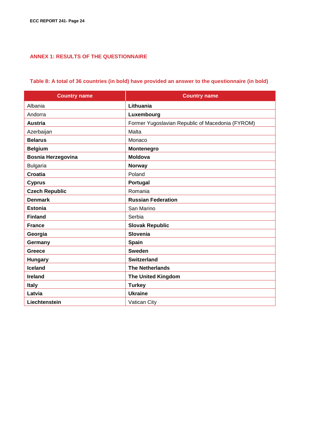# <span id="page-23-0"></span>**ANNEX 1: RESULTS OF THE QUESTIONNAIRE**

# **Table 8: A total of 36 countries (in bold) have provided an answer to the questionnaire (in bold)**

| <b>Country name</b>       | <b>Country name</b>                              |
|---------------------------|--------------------------------------------------|
| Albania                   | Lithuania                                        |
| Andorra                   | Luxembourg                                       |
| <b>Austria</b>            | Former Yugoslavian Republic of Macedonia (FYROM) |
| Azerbaijan                | Malta                                            |
| <b>Belarus</b>            | Monaco                                           |
| <b>Belgium</b>            | Montenegro                                       |
| <b>Bosnia Herzegovina</b> | <b>Moldova</b>                                   |
| <b>Bulgaria</b>           | Norway                                           |
| <b>Croatia</b>            | Poland                                           |
| <b>Cyprus</b>             | Portugal                                         |
| <b>Czech Republic</b>     | Romania                                          |
| <b>Denmark</b>            | <b>Russian Federation</b>                        |
| <b>Estonia</b>            | San Marino                                       |
| <b>Finland</b>            | Serbia                                           |
| <b>France</b>             | <b>Slovak Republic</b>                           |
| Georgia                   | Slovenia                                         |
| Germany                   | Spain                                            |
| Greece                    | <b>Sweden</b>                                    |
| <b>Hungary</b>            | <b>Switzerland</b>                               |
| <b>Iceland</b>            | <b>The Netherlands</b>                           |
| <b>Ireland</b>            | <b>The United Kingdom</b>                        |
| <b>Italy</b>              | <b>Turkey</b>                                    |
| Latvia                    | <b>Ukraine</b>                                   |
| Liechtenstein             | Vatican City                                     |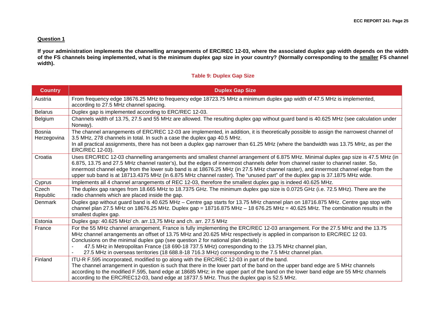#### **Question 1**

**If your administration implements the channelling arrangements of ERC/REC 12-03, where the associated duplex gap width depends on the width of the FS channels being implemented, what is the minimum duplex gap size in your country? (Normally corresponding to the smaller FS channel width).**

#### **Table 9: Duplex Gap Size**

| <b>Country</b>               | <b>Duplex Gap Size</b>                                                                                                                                                                                                                                                                                                                                                                                                                                                                                                                                                       |
|------------------------------|------------------------------------------------------------------------------------------------------------------------------------------------------------------------------------------------------------------------------------------------------------------------------------------------------------------------------------------------------------------------------------------------------------------------------------------------------------------------------------------------------------------------------------------------------------------------------|
| Austria                      | From frequency edge 18676.25 MHz to frequency edge 18723.75 MHz a minimum duplex gap width of 47.5 MHz is implemented,<br>according to 27.5 MHz channel spacing.                                                                                                                                                                                                                                                                                                                                                                                                             |
| <b>Belarus</b>               | Duplex gap is implemented according to ERC/REC 12-03.                                                                                                                                                                                                                                                                                                                                                                                                                                                                                                                        |
| Belgium                      | Channels width of 13.75, 27.5 and 55 MHz are allowed. The resulting duplex gap without guard band is 40.625 MHz (see calculation under<br>Norway).                                                                                                                                                                                                                                                                                                                                                                                                                           |
| <b>Bosnia</b><br>Herzegovina | The channel arrangements of ERC/REC 12-03 are implemented, in addition, it is theoretically possible to assign the narrowest channel of<br>3.5 MHz, 278 channels in total. In such a case the duplex gap 40.5 MHz.<br>In all practical assignments, there has not been a duplex gap narrower than 61.25 MHz (where the bandwidth was 13.75 MHz, as per the<br>ERC/REC 12-03).                                                                                                                                                                                                |
| Croatia                      | Uses ERC/REC 12-03 channelling arrangements and smallest channel arrangement of 6.875 MHz. Minimal duplex gap size is 47.5 MHz (in<br>6.875, 13.75 and 27.5 MHz channel raster's), but the edges of innermost channels defer from channel raster to channel raster. So,<br>innermost channel edge from the lower sub band is at 18676.25 MHz (in 27.5 MHz channel raster), and innermost channel edge from the<br>upper sub band is at 18713.4375 MHz (in 6.875 MHz channel raster). The "unused part" of the duplex gap is 37.1875 MHz wide.                                |
| Cyprus                       | Implements all 4 channel arrangements of REC 12-03, therefore the smallest duplex gap is indeed 40.625 MHz.                                                                                                                                                                                                                                                                                                                                                                                                                                                                  |
| Czech<br>Republic            | The duplex gap ranges from 18.665 MHz to 18.7375 GHz. The minimum duplex gap size is 0.0725 GHz (i.e. 72.5 MHz). There are the<br>radio channels which are placed inside the gap.                                                                                                                                                                                                                                                                                                                                                                                            |
| Denmark                      | Duplex gap without guard band is 40.625 MHz - Centre gap starts for 13.75 MHz channel plan on 18716.875 MHz. Centre gap stop with<br>channel plan 27.5 MHz on 18676.25 MHz. Duplex gap = 18716.875 MHz - 18 676.25 MHz = 40.625 MHz. The combination results in the<br>smallest duplex gap.                                                                                                                                                                                                                                                                                  |
| Estonia                      | Duplex gap: 40.625 MHz/ ch. arr.13,75 MHz and ch. arr. 27.5 MHz                                                                                                                                                                                                                                                                                                                                                                                                                                                                                                              |
| France                       | For the 55 MHz channel arrangement, France is fully implementing the ERC/REC 12-03 arrangement. For the 27.5 MHz and the 13.75<br>MHz channel arrangements an offset of 13.75 MHz and 20.625 MHz respectively is applied in comparison to ERC/REC 1203.<br>Conclusions on the minimal duplex gap (see question 2 for national plan details) :<br>47.5 MHz in Metropolitan France (18 690-18 737.5 MHz) corresponding to the 13.75 MHz channel plan,<br>$\blacksquare$<br>27.5 MHz in overseas territories (18 688.8-18 716.3 MHz) corresponding to the 7.5 MHz channel plan. |
| Finland                      | ITU-R F.595 incorporated, modified to go along with the ERC/REC 12-03 in part of the band.<br>The channel arrangement in question is such that there in the lower part of the band on the upper band edge are 5 MHz channels<br>according to the modified F.595, band edge at 18685 MHz; in the upper part of the band on the lower band edge are 55 MHz channels<br>according to the ERC/REC12-03, band edge at 18737.5 MHz. Thus the duplex gap is 52.5 MHz.                                                                                                               |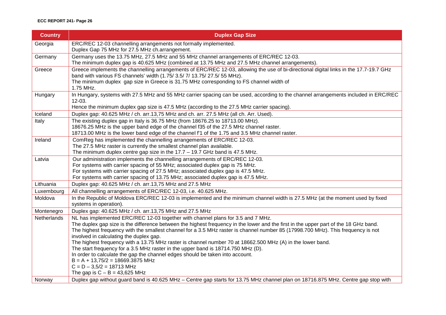#### **ECC REPORT 241- Page 26**

| <b>Country</b>     | <b>Duplex Gap Size</b>                                                                                                                                                                                              |
|--------------------|---------------------------------------------------------------------------------------------------------------------------------------------------------------------------------------------------------------------|
| Georgia            | ERC/REC 12-03 channelling arrangements not formally implemented.                                                                                                                                                    |
|                    | Duplex Gap 75 MHz for 27.5 MHz ch.arrangement.                                                                                                                                                                      |
| Germany            | Germany uses the 13.75 MHz, 27.5 MHz and 55 MHz channel arrangements of ERC/REC 12-03.                                                                                                                              |
|                    | The minimum duplex gap is 40.625 MHz (combined at 13.75 MHz and 27.5 MHz channel arrangements).                                                                                                                     |
| Greece             | Greece implements the channelling arrangements of ERC/REC 12-03, allowing the use of bi-directional digital links in the 17.7-19.7 GHz<br>band with various FS channels' width (1.75/ 3.5/ 7/ 13.75/ 27.5/ 55 MHz). |
|                    | The minimum duplex gap size in Greece is 31.75 MHz corresponding to FS channel width of<br>1.75 MHz.                                                                                                                |
| Hungary            | In Hungary, systems with 27.5 MHz and 55 MHz carrier spacing can be used, according to the channel arrangements included in ERC/REC<br>$12-03.$                                                                     |
|                    | Hence the minimum duplex gap size is 47.5 MHz (according to the 27.5 MHz carrier spacing).                                                                                                                          |
| Iceland            | Duplex gap: 40.625 MHz / ch. arr.13,75 MHz and ch. arr. 27.5 MHz (all ch. Arr. Used).                                                                                                                               |
| Italy              | The existing duplex gap in Italy is 36.75 MHz (from 18676.25 to 18713.00 MHz).                                                                                                                                      |
|                    | 18676.25 MHz is the upper band edge of the channel f35 of the 27.5 MHz channel raster.                                                                                                                              |
|                    | 18713.00 MHz is the lower band edge of the channel f'1 of the 1.75 and 3.5 MHz channel raster.                                                                                                                      |
| Ireland            | ComReg has implemented the channelling arrangements of ERC/REC 12-03.                                                                                                                                               |
|                    | The 27.5 MHz raster is currently the smallest channel plan available.                                                                                                                                               |
|                    | The minimum duplex centre gap size in the $17.7 - 19.7$ GHz band is 47.5 MHz.                                                                                                                                       |
| Latvia             | Our administration implements the channelling arrangements of ERC/REC 12-03.                                                                                                                                        |
|                    | For systems with carrier spacing of 55 MHz; associated duplex gap is 75 MHz.                                                                                                                                        |
|                    | For systems with carrier spacing of 27.5 MHz; associated duplex gap is 47.5 MHz.                                                                                                                                    |
|                    | For systems with carrier spacing of 13.75 MHz; associated duplex gap is 47.5 MHz.                                                                                                                                   |
| Lithuania          | Duplex gap: 40.625 MHz / ch. arr.13,75 MHz and 27.5 MHz                                                                                                                                                             |
| Luxembourg         | All channelling arrangements of ERC/REC 12-03, i.e. 40.625 MHz.                                                                                                                                                     |
| Moldova            | In the Republic of Moldova ERC/REC 12-03 is implemented and the minimum channel width is 27.5 MHz (at the moment used by fixed<br>systems in operation).                                                            |
| Montenegro         | Duplex gap: 40.625 MHz / ch. arr.13,75 MHz and 27.5 MHz                                                                                                                                                             |
| <b>Netherlands</b> | NL has implemented ERC/REC 12-03 together with channel plans for 3.5 and 7 MHz.                                                                                                                                     |
|                    | The duplex gap size is the difference between the highest frequency in the lower and the first in the upper part of the 18 GHz band.                                                                                |
|                    | The highest frequency with the smallest channel for a 3.5 MHz raster is channel number 85 (17998.700 MHz). This frequency is not                                                                                    |
|                    | involved in calculating the duplex gap.                                                                                                                                                                             |
|                    | The highest frequency with a 13.75 MHz raster is channel number 70 at 18662.500 MHz (A) in the lower band.                                                                                                          |
|                    | The start frequency for a 3.5 MHz raster in the upper band is 18714.750 MHz (D).                                                                                                                                    |
|                    | In order to calculate the gap the channel edges should be taken into account.                                                                                                                                       |
|                    | $B = A + 13,75/2 = 18669.3875$ MHz                                                                                                                                                                                  |
|                    | $C = D - 3,5/2 = 18713$ MHz                                                                                                                                                                                         |
|                    | The gap is $C - B = 43,625$ MHz                                                                                                                                                                                     |
| Norway             | Duplex gap without guard band is 40.625 MHz - Centre gap starts for 13.75 MHz channel plan on 18716.875 MHz. Centre gap stop with                                                                                   |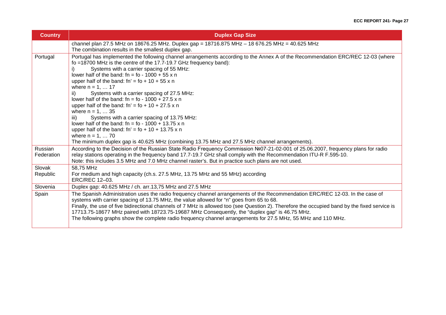| <b>Country</b>        | <b>Duplex Gap Size</b>                                                                                                                                                                                                                                                                                                                                                                                                                                                                                                                                                                                                                                                                                                                                                                                                                                                             |
|-----------------------|------------------------------------------------------------------------------------------------------------------------------------------------------------------------------------------------------------------------------------------------------------------------------------------------------------------------------------------------------------------------------------------------------------------------------------------------------------------------------------------------------------------------------------------------------------------------------------------------------------------------------------------------------------------------------------------------------------------------------------------------------------------------------------------------------------------------------------------------------------------------------------|
|                       | channel plan 27.5 MHz on 18676.25 MHz. Duplex gap = 18716.875 MHz - 18 676.25 MHz = 40.625 MHz<br>The combination results in the smallest duplex gap.                                                                                                                                                                                                                                                                                                                                                                                                                                                                                                                                                                                                                                                                                                                              |
| Portugal              | Portugal has implemented the following channel arrangements according to the Annex A of the Recommendation ERC/REC 12-03 (where<br>fo =18700 MHz is the centre of the 17.7-19.7 GHz frequency band):<br>Systems with a carrier spacing of 55 MHz:<br>lower half of the band: $fn = fo - 1000 + 55x n$<br>upper half of the band: $fn' = fo + 10 + 55x n$<br>where $n = 1,  17$<br>Systems with a carrier spacing of 27.5 MHz:<br>ii)<br>lower half of the band: fn = fo - 1000 + 27.5 x n<br>upper half of the band: $fn' = fo + 10 + 27.5 \times n$<br>where $n = 1,  35$<br>Systems with a carrier spacing of 13.75 MHz:<br>iii)<br>lower half of the band: fn = fo - $1000 + 13.75 \times n$<br>upper half of the band: $fn' = fo + 10 + 13.75 \times n$<br>where $n = 1,  70$<br>The minimum duplex gap is 40.625 MHz (combining 13.75 MHz and 27.5 MHz channel arrangements). |
| Russian<br>Federation | According to the Decision of the Russian State Radio Frequency Commission Nº07-21-02-001 of 25.06.2007, frequency plans for radio<br>relay stations operating in the frequency band 17.7-19.7 GHz shall comply with the Recommendation ITU-R F.595-10.<br>Note: this includes 3.5 MHz and 7.0 MHz channel raster's. But in practice such plans are not used.                                                                                                                                                                                                                                                                                                                                                                                                                                                                                                                       |
| Slovak<br>Republic    | 58,75 MHz<br>For medium and high capacity (ch.s. 27.5 MHz, 13.75 MHz and 55 MHz) according<br>ERC/REC 12-03.                                                                                                                                                                                                                                                                                                                                                                                                                                                                                                                                                                                                                                                                                                                                                                       |
| Slovenia              | Duplex gap: 40.625 MHz / ch. arr.13,75 MHz and 27.5 MHz                                                                                                                                                                                                                                                                                                                                                                                                                                                                                                                                                                                                                                                                                                                                                                                                                            |
| Spain                 | The Spanish Administration uses the radio frequency channel arrangements of the Recommendation ERC/REC 12-03. In the case of<br>systems with carrier spacing of 13.75 MHz, the value allowed for "n" goes from 65 to 68.<br>Finally, the use of five bidirectional channels of 7 MHz is allowed too (see Question 2). Therefore the occupied band by the fixed service is<br>17713.75-18677 MHz paired with 18723.75-19687 MHz Consequently, the "duplex gap" is 46.75 MHz.<br>The following graphs show the complete radio frequency channel arrangements for 27.5 MHz, 55 MHz and 110 MHz.                                                                                                                                                                                                                                                                                       |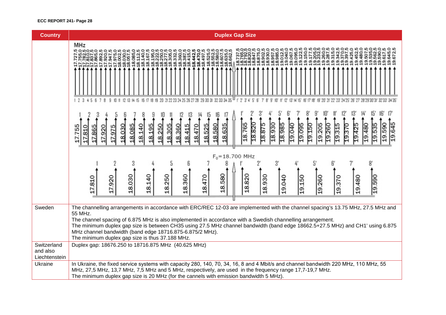#### **ECC REPORT 241- Page 28**

| <b>Country</b>                           | <b>Duplex Gap Size</b>                                                                                                                                                                                                                                                                                                                                                                                                                                                                                     |
|------------------------------------------|------------------------------------------------------------------------------------------------------------------------------------------------------------------------------------------------------------------------------------------------------------------------------------------------------------------------------------------------------------------------------------------------------------------------------------------------------------------------------------------------------------|
|                                          | <b>MHz</b><br>18,635<br>8.95<br>9.06<br>8.93<br>8.98<br>9.04<br>$\frac{5}{10}$                                                                                                                                                                                                                                                                                                                                                                                                                             |
|                                          |                                                                                                                                                                                                                                                                                                                                                                                                                                                                                                            |
|                                          | 18.820<br>18.765<br>18.930<br>18.985<br>19.205<br>19.645<br>18.875<br>19.095<br>19.150<br>18.580<br>19.040<br>19.260<br>19.425<br>19.590<br>18.635<br>19.370<br>19.480<br>18.525<br>19.315<br>19.535<br>8.085<br>18.195<br>305<br>18.470<br>18.140<br>18.250<br>18.360<br>18.415<br>8.030<br>17.755<br>17.865<br>17.920<br>17.975<br>810                                                                                                                                                                   |
|                                          | $F_0 = 18.700$ MHz                                                                                                                                                                                                                                                                                                                                                                                                                                                                                         |
|                                          | 18.580<br>18.030<br>18.140<br>18.360<br>18.820<br>18.250<br>18.930<br>18.470<br>19.040<br>19.590<br>17.920<br>17.810<br>19.150<br>19.260<br>19.480<br>19.370                                                                                                                                                                                                                                                                                                                                               |
| Sweden                                   | The channelling arrangements in accordance with ERC/REC 12-03 are implemented with the channel spacing's 13.75 MHz, 27.5 MHz and<br>55 MHz.<br>The channel spacing of 6.875 MHz is also implemented in accordance with a Swedish channelling arrangement.<br>The minimum duplex gap size is between CH35 using 27.5 MHz channel bandwidth (band edge 18662.5+27.5 MHz) and CH1' using 6.875<br>MHz channel bandwidth (band edge 18716.875-6.875/2 MHz).<br>The minimum duplex gap size is thus 37.188 MHz. |
| Switzerland<br>and also<br>Liechtenstein | Duplex gap: 18676.250 to 18716.875 MHz (40.625 MHz)                                                                                                                                                                                                                                                                                                                                                                                                                                                        |
| Ukraine                                  | In Ukraine, the fixed service systems with capacity 280, 140, 70, 34, 16, 8 and 4 Mbit/s and channel bandwidth 220 MHz, 110 MHz, 55<br>MHz, 27,5 MHz, 13,7 MHz, 7,5 MHz and 5 MHz, respectively, are used in the frequency range 17,7-19,7 MHz.<br>The minimum duplex gap size is 20 MHz (for the cannels with emission bandwidth 5 MHz).                                                                                                                                                                  |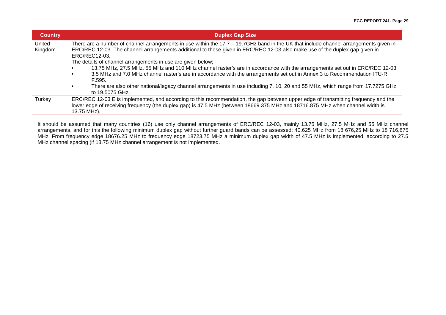| <b>Country</b>    | <b>Duplex Gap Size</b>                                                                                                                                                                                                                                                                                                                                                                                                                                                                                                                                                                                                                                                                                                                                                     |
|-------------------|----------------------------------------------------------------------------------------------------------------------------------------------------------------------------------------------------------------------------------------------------------------------------------------------------------------------------------------------------------------------------------------------------------------------------------------------------------------------------------------------------------------------------------------------------------------------------------------------------------------------------------------------------------------------------------------------------------------------------------------------------------------------------|
| United<br>Kingdom | There are a number of channel arrangements in use within the 17.7 – 19.7GHz band in the UK that include channel arrangements given in<br>ERC/REC 12-03. The channel arrangements additional to those given in ERC/REC 12-03 also make use of the duplex gap given in<br>ERC/REC12-03.<br>The details of channel arrangements in use are given below;<br>13.75 MHz, 27.5 MHz, 55 MHz and 110 MHz channel raster's are in accordance with the arrangements set out in ERC/REC 12-03<br>3.5 MHz and 7.0 MHz channel raster's are in accordance with the arrangements set out in Annex 3 to Recommendation ITU-R<br>F.595.<br>There are also other national/legacy channel arrangements in use including 7, 10, 20 and 55 MHz, which range from 17.7275 GHz<br>to 19.5075 GHz. |
| Turkey            | ERC/REC 12-03 E is implemented, and according to this recommendation, the gap between upper edge of transmitting frequency and the<br>lower edge of receiving frequency (the duplex gap) is 47.5 MHz (between 18669.375 MHz and 18716.875 MHz when channel width is<br>13.75 MHz).                                                                                                                                                                                                                                                                                                                                                                                                                                                                                         |

It should be assumed that many countries (16) use only channel arrangements of ERC/REC 12-03, mainly 13.75 MHz, 27.5 MHz and 55 MHz channel arrangements, and for this the following minimum duplex gap without further guard bands can be assessed: 40.625 MHz from 18 676,25 MHz to 18 716,875 MHz. From frequency edge 18676.25 MHz to frequency edge 18723.75 MHz a minimum duplex gap width of 47.5 MHz is implemented, according to 27.5 MHz channel spacing (if 13.75 MHz channel arrangement is not implemented.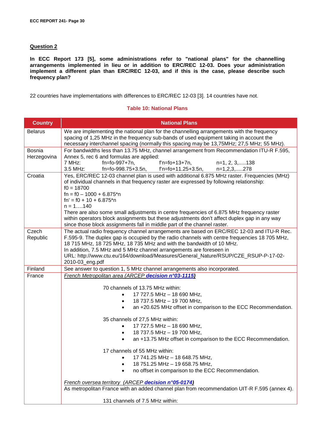#### **Question 2**

**In ECC Report 173 [\[5\],](#page-40-6) some administrations refer to "national plans" for the channelling arrangements implemented in lieu or in addition to ERC/REC 12-03. Does your administration implement a different plan than ERC/REC 12-03, and if this is the case, please describe such frequency plan?**

22 countries have implementations with differences to ERC/REC 12-03 [\[3\].](#page-40-2) 14 countries have not.

#### **Table 10: National Plans**

| <b>Country</b>               | <b>National Plans</b>                                                                                                                                                                                                                                                                                                                                                                                                                                                                                                                                    |
|------------------------------|----------------------------------------------------------------------------------------------------------------------------------------------------------------------------------------------------------------------------------------------------------------------------------------------------------------------------------------------------------------------------------------------------------------------------------------------------------------------------------------------------------------------------------------------------------|
| <b>Belarus</b>               | We are implementing the national plan for the channelling arrangements with the frequency<br>spacing of 1,25 MHz in the frequency sub-bands of used equipment taking in account the<br>necessary interchannel spacing (normally this spacing may be 13,75MHz; 27,5 MHz; 55 MHz).                                                                                                                                                                                                                                                                         |
| <b>Bosnia</b><br>Herzegovina | For bandwidths less than 13.75 MHz, channel arrangement from Recommendation ITU-R F.595,<br>Annex 5, rec 6 and formulas are applied:                                                                                                                                                                                                                                                                                                                                                                                                                     |
|                              | 7 MHz:<br>fn=fo-997+7n,<br>$f'n = fo + 13 + 7n$ ,<br>n=1, 2, 3,138<br>f'n=fo+11.25+3.5n,<br>3.5 MHz:<br>fn=fo-998.75+3.5n,<br>$n=1,2,3,278$                                                                                                                                                                                                                                                                                                                                                                                                              |
| Croatia                      | Yes, ERC/REC 12-03 channel plan is used with additional 6.875 MHz raster. Frequencies (MHz)<br>of individual channels in that frequency raster are expressed by following relationship:<br>$f0 = 18700$<br>$fn = f0 - 1000 + 6.875*n$<br>$fn' = f0 + 10 + 6.875*n$<br>$n = 1140$<br>There are also some small adjustments in centre frequencies of 6.875 MHz frequency raster<br>within operators block assignments but these adjustments don't affect duplex gap in any way<br>since those block assignments fall in middle part of the channel raster. |
| Czech<br>Republic            | The actual radio frequency channel arrangements are based on ERC/REC 12-03 and ITU-R Rec.<br>F.595-9. The duplex gap is occupied by the radio channels with centre frequencies 18 705 MHz,<br>18 715 MHz, 18 725 MHz, 18 735 MHz and with the bandwidth of 10 MHz.<br>In addition, 7.5 MHz and 5 MHz channel arrangements are foreseen in<br>URL: http://www.ctu.eu/164/download/Measures/General_Nature/RSUP/CZE_RSUP-P-17-02-<br>2010-03_eng.pdf                                                                                                       |
| Finland                      | See answer to question 1, 5 MHz channel arrangements also incorporated.                                                                                                                                                                                                                                                                                                                                                                                                                                                                                  |
| France                       | French Metropolitan area (ARCEP decision n°03-1115)<br>70 channels of 13.75 MHz within:<br>17 727.5 MHz - 18 690 MHz,<br>18 737.5 MHz - 19 700 MHz,<br>$\bullet$<br>an +20.625 MHz offset in comparison to the ECC Recommendation.<br>$\bullet$                                                                                                                                                                                                                                                                                                          |
|                              | 35 channels of 27,5 MHz within:<br>17 727.5 MHz - 18 690 MHz,<br>18 737.5 MHz - 19 700 MHz,<br>$\bullet$<br>an +13.75 MHz offset in comparison to the ECC Recommendation.<br>17 channels of 55 MHz within:                                                                                                                                                                                                                                                                                                                                               |
|                              | 17 741.25 MHz - 18 648.75 MHz,<br>18 751.25 MHz - 19 658.75 MHz,<br>no offset in comparison to the ECC Recommendation.                                                                                                                                                                                                                                                                                                                                                                                                                                   |
|                              | French oversea territory (ARCEP decision n°05-0174)<br>As metropolitan France with an added channel plan from recommendation UIT-R F.595 (annex 4).                                                                                                                                                                                                                                                                                                                                                                                                      |
|                              | 131 channels of 7.5 MHz within:                                                                                                                                                                                                                                                                                                                                                                                                                                                                                                                          |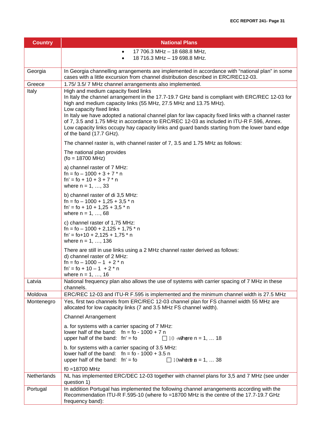| <b>Country</b> | <b>National Plans</b>                                                                                                                                                                                                                                                                                                                                                                                                                                                                                                                                                  |
|----------------|------------------------------------------------------------------------------------------------------------------------------------------------------------------------------------------------------------------------------------------------------------------------------------------------------------------------------------------------------------------------------------------------------------------------------------------------------------------------------------------------------------------------------------------------------------------------|
|                | 17 706.3 MHz - 18 688.8 MHz,<br>$\bullet$                                                                                                                                                                                                                                                                                                                                                                                                                                                                                                                              |
|                | 18 716.3 MHz - 19 698.8 MHz.<br>$\bullet$                                                                                                                                                                                                                                                                                                                                                                                                                                                                                                                              |
| Georgia        | In Georgia channelling arrangements are implemented in accordance with "national plan" in some<br>cases with a little excursion from channel distribution described in ERC/REC12-03.                                                                                                                                                                                                                                                                                                                                                                                   |
| Greece         | 1.75/3.5/7 MHz channel arrangements also implemented.                                                                                                                                                                                                                                                                                                                                                                                                                                                                                                                  |
| Italy          | High and medium capacity fixed links<br>In Italy the channel arrangement in the 17.7-19.7 GHz band is compliant with ERC/REC 12-03 for<br>high and medium capacity links (55 MHz, 27.5 MHz and 13.75 MHz).<br>Low capacity fixed links<br>In Italy we have adopted a national channel plan for law capacity fixed links with a channel raster<br>of 7, 3.5 and 1.75 MHz in accordance to ERC/REC 12-03 as included in ITU-R F.596, Annex.<br>Low capacity links occupy hay capacity links and guard bands starting from the lower band edge<br>of the band (17.7 GHz). |
|                | The channel raster is, with channel raster of 7, 3.5 and 1.75 MHz as follows:                                                                                                                                                                                                                                                                                                                                                                                                                                                                                          |
|                | The national plan provides<br>$(fo = 18700 MHz)$                                                                                                                                                                                                                                                                                                                                                                                                                                                                                                                       |
|                | a) channel raster of 7 MHz:<br>$fn = fo - 1000 + 3 + 7 * n$<br>$fn' = fo + 10 + 3 + 7 * n$<br>where $n = 1, , 33$                                                                                                                                                                                                                                                                                                                                                                                                                                                      |
|                | b) channel raster of di 3,5 MHz:<br>$fn = fo - 1000 + 1,25 + 3,5 * n$<br>$fn' = fo + 10 + 1,25 + 3,5 * n$<br>where $n = 1, , 68$                                                                                                                                                                                                                                                                                                                                                                                                                                       |
|                | c) channel raster of 1,75 MHz:<br>$fn = fo - 1000 + 2,125 + 1,75$ * n<br>$fn' = fo+10 + 2,125 + 1,75$ * n<br>where $n = 1, , 136$                                                                                                                                                                                                                                                                                                                                                                                                                                      |
|                | There are still in use links using a 2 MHz channel raster derived as follows:<br>d) channel raster of 2 MHz:<br>$fn = fo - 1000 - 1 + 2 * n$<br>$fn' = fo + 10 - 1 + 2 * n$<br>where $n = 1, , 16$                                                                                                                                                                                                                                                                                                                                                                     |
| Latvia         | National frequency plan also allows the use of systems with carrier spacing of 7 MHz in these<br>channels.                                                                                                                                                                                                                                                                                                                                                                                                                                                             |
| Moldova        | ERC/REC 12-03 and ITU-R F.595 is implemented and the minimum channel width is 27.5 MHz                                                                                                                                                                                                                                                                                                                                                                                                                                                                                 |
| Montenegro     | Yes, first two channels from ERC/REC 12-03 channel plan for FS channel width 55 MHz are<br>allocated for low capacity links (7 and 3.5 MHz FS channel width).                                                                                                                                                                                                                                                                                                                                                                                                          |
|                | <b>Channel Arrangement</b>                                                                                                                                                                                                                                                                                                                                                                                                                                                                                                                                             |
|                | a. for systems with a carrier spacing of 7 MHz:<br>lower half of the band: $fn = fo - 1000 + 7n$<br>upper half of the band: $fn' = fo$<br>$\Box$ 10 + $\mathsf{W}$ here n = 1,  18                                                                                                                                                                                                                                                                                                                                                                                     |
|                | b. for systems with a carrier spacing of 3.5 MHz:<br>lower half of the band: $fn = fo - 1000 + 3.5 n$<br>upper half of the band: $fn' = fo$<br>$\Box$ 10 where $m = 1,  38$                                                                                                                                                                                                                                                                                                                                                                                            |
|                | $f0 = 18700$ MHz                                                                                                                                                                                                                                                                                                                                                                                                                                                                                                                                                       |
| Netherlands    | NL has implemented ERC/DEC 12-03 together with channel plans for 3,5 and 7 MHz (see under<br>question 1)                                                                                                                                                                                                                                                                                                                                                                                                                                                               |
| Portugal       | In addition Portugal has implemented the following channel arrangements according with the<br>Recommendation ITU-R F.595-10 (where fo =18700 MHz is the centre of the 17.7-19.7 GHz<br>frequency band):                                                                                                                                                                                                                                                                                                                                                                |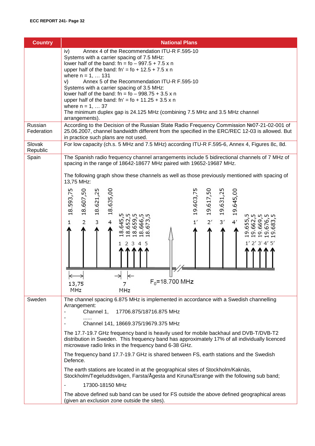| <b>Country</b>     | <b>National Plans</b>                                                                                                                                                                                                                                                                                                                                                                                                                                                                                                                                                                                                                                                                                                                             |
|--------------------|---------------------------------------------------------------------------------------------------------------------------------------------------------------------------------------------------------------------------------------------------------------------------------------------------------------------------------------------------------------------------------------------------------------------------------------------------------------------------------------------------------------------------------------------------------------------------------------------------------------------------------------------------------------------------------------------------------------------------------------------------|
| Russian            | iv)<br>Annex 4 of the Recommendation ITU-R F.595-10<br>Systems with a carrier spacing of 7.5 MHz:<br>lower half of the band: $fn = fo - 997.5 + 7.5 \times n$<br>upper half of the band: $fn' = fo + 12.5 + 7.5 \times n$<br>where $n = 1,  131$<br>Annex 5 of the Recommendation ITU-R F.595-10<br>V)<br>Systems with a carrier spacing of 3.5 MHz:<br>lower half of the band: $fn = fo - 998.75 + 3.5 \times n$<br>upper half of the band: $fn' = fo + 11.25 + 3.5 \times n$<br>where $n = 1,  37$<br>The minimum duplex gap is 24.125 MHz (combining 7.5 MHz and 3.5 MHz channel<br>arrangements).<br>According to the Decision of the Russian State Radio Frequency Commission №07-21-02-001 of                                               |
| Federation         | 25.06.2007, channel bandwidth different from the specified in the ERC/REC 12-03 is allowed. But<br>in practice such plans are not used.                                                                                                                                                                                                                                                                                                                                                                                                                                                                                                                                                                                                           |
| Slovak<br>Republic | For low capacity (ch.s. 5 MHz and 7.5 MHz) according ITU-R F.595-6, Annex 4, Figures 8c, 8d.                                                                                                                                                                                                                                                                                                                                                                                                                                                                                                                                                                                                                                                      |
| Spain              | The Spanish radio frequency channel arrangements include 5 bidirectional channels of 7 MHz of<br>spacing in the range of 18642-18677 MHz paired with 19652-19687 MHz.<br>The following graph show these channels as well as those previously mentioned with spacing of<br>13,75 MHz:<br>18.593,75<br>18.635,00<br>19.603,75<br>19.631,25<br>18.607,50<br>18.621,25<br>19.617,50<br>19.645,00<br><b>56666</b><br>$\overline{2}$<br>3<br>$\sim$<br>645<br>2'<br>ᡡ<br>1'<br>$3'$<br>4'<br>$\mathbf{1}$<br>4<br>65<br>ഗഗ<br>∞<br>თ<br>ᡡ<br>$1'$ 2' 3' 4' 5'<br>2<br>$\longleftrightarrow$<br>$\leftarrow$<br>$F_0 = 18.700$ MHz<br>13,75<br>MHz<br>MHz                                                                                                |
| Sweden             | The channel spacing 6.875 MHz is implemented in accordance with a Swedish channelling<br>Arrangement:<br>Channel 1,<br>17706.875/18716.875 MHz<br>Channel 141, 18669.375/19679.375 MHz<br>The 17.7-19.7 GHz frequency band is heavily used for mobile backhaul and DVB-T/DVB-T2<br>distribution in Sweden. This frequency band has approximately 17% of all individually licenced<br>microwave radio links in the frequency band 6-38 GHz.<br>The frequency band 17.7-19.7 GHz is shared between FS, earth stations and the Swedish<br>Defence.<br>The earth stations are located in at the geographical sites of Stockholm/Kaknäs,<br>Stockholm/Tegeluddsvägen, Farsta/Ågesta and Kiruna/Esrange with the following sub band;<br>17300-18150 MHz |
|                    | The above defined sub band can be used for FS outside the above defined geographical areas<br>(given an exclusion zone outside the sites).                                                                                                                                                                                                                                                                                                                                                                                                                                                                                                                                                                                                        |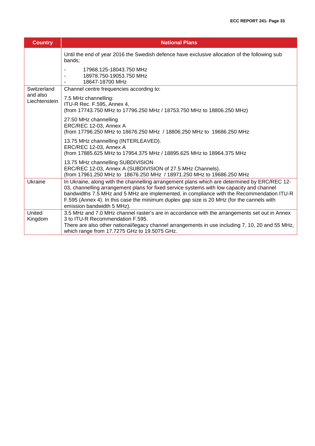| <b>Country</b>            | <b>National Plans</b>                                                                                                                                                                                                                                                                                                                                                                                             |
|---------------------------|-------------------------------------------------------------------------------------------------------------------------------------------------------------------------------------------------------------------------------------------------------------------------------------------------------------------------------------------------------------------------------------------------------------------|
|                           | Until the end of year 2016 the Swedish defence have exclusive allocation of the following sub<br>bands;                                                                                                                                                                                                                                                                                                           |
|                           | 17968.125-18043.750 MHz<br>18978.750-19053.750 MHz<br>18647-18700 MHz                                                                                                                                                                                                                                                                                                                                             |
| Switzerland               | Channel centre frequencies according to:                                                                                                                                                                                                                                                                                                                                                                          |
| and also<br>Liechtenstein | 7.5 MHz channelling:<br>ITU-R Rec. F.595, Annex 4,<br>(from 17743.750 MHz to 17796.250 MHz / 18753.750 MHz to 18806.250 MHz)                                                                                                                                                                                                                                                                                      |
|                           | 27.50 MHz channelling<br>ERC/REC 12-03, Annex A<br>(from 17796.250 MHz to 18676.250 MHz / 18806.250 MHz to 19686.250 MHz                                                                                                                                                                                                                                                                                          |
|                           | 13.75 MHz channelling (INTERLEAVED).<br>ERC/REC 12-03, Annex A<br>(from 17885.625 MHz to 17954.375 MHz / 18895.625 MHz to 18964.375 MHz                                                                                                                                                                                                                                                                           |
|                           | 13.75 MHz channelling SUBDIVISION<br>ERC/REC 12-03, Annex A (SUBDIVISION of 27.5 MHz Channels).<br>(from 17961.250 MHz to 18676.250 MHz / 18971.250 MHz to 19686.250 MHz                                                                                                                                                                                                                                          |
| Ukraine                   | In Ukraine, along with the channelling arrangement plans which are determined by ERC/REC 12-<br>03, channelling arrangement plans for fixed service systems with low capacity and channel<br>bandwidths 7.5 MHz and 5 MHz are implemented, in compliance with the Recommendation ITU-R<br>F.595 (Annex 4). In this case the minimum duplex gap size is 20 MHz (for the cannels with<br>emission bandwidth 5 MHz). |
| United<br>Kingdom         | 3.5 MHz and 7.0 MHz channel raster's are in accordance with the arrangements set out in Annex<br>3 to ITU-R Recommendation F.595.<br>There are also other national/legacy channel arrangements in use including 7, 10, 20 and 55 MHz,<br>which range from 17.7275 GHz to 19.5075 GHz.                                                                                                                             |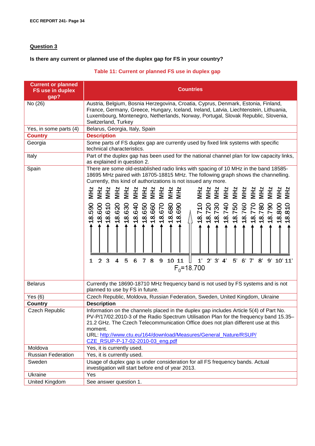### **Question 3**

# **Is there any current or planned use of the duplex gap for FS in your country?**

# **Table 11: Current or planned FS use in duplex gap**

| <b>Current or planned</b><br>FS use in duplex<br>gap? | <b>Countries</b>                                                                                                                                                                                                                                                                                                                                                                                                                                                                                                                                                                                                                                                                                                                              |  |
|-------------------------------------------------------|-----------------------------------------------------------------------------------------------------------------------------------------------------------------------------------------------------------------------------------------------------------------------------------------------------------------------------------------------------------------------------------------------------------------------------------------------------------------------------------------------------------------------------------------------------------------------------------------------------------------------------------------------------------------------------------------------------------------------------------------------|--|
| No $(26)$                                             | Austria, Belgium, Bosnia Herzegovina, Croatia, Cyprus, Denmark, Estonia, Finland,<br>France, Germany, Greece, Hungary, Iceland, Ireland, Latvia, Liechtenstein, Lithuania,<br>Luxembourg, Montenegro, Netherlands, Norway, Portugal, Slovak Republic, Slovenia,<br>Switzerland, Turkey                                                                                                                                                                                                                                                                                                                                                                                                                                                        |  |
| Yes, in some parts (4)                                | Belarus, Georgia, Italy, Spain                                                                                                                                                                                                                                                                                                                                                                                                                                                                                                                                                                                                                                                                                                                |  |
| <b>Country</b>                                        | <b>Description</b>                                                                                                                                                                                                                                                                                                                                                                                                                                                                                                                                                                                                                                                                                                                            |  |
| Georgia                                               | Some parts of FS duplex gap are currently used by fixed link systems with specific<br>technical characteristics.                                                                                                                                                                                                                                                                                                                                                                                                                                                                                                                                                                                                                              |  |
| Italy                                                 | Part of the duplex gap has been used for the national channel plan for low capacity links,<br>as explained in question 2.                                                                                                                                                                                                                                                                                                                                                                                                                                                                                                                                                                                                                     |  |
| Spain                                                 | There are some old-established radio links with spacing of 10 MHz in the band 18585-<br>18695 MHz paired with 18705-18815 MHz. The following graph shows the channelling.<br>Currently, this kind of authorizations is not issued any more.<br><b>MHz</b><br>NHZ<br>MHZ<br>MHZ<br>MHZ<br>NH 2<br>NH 2 H 2 H 2 H 2 H 2<br>NH 2 H 2 H 2 H 2 H 2 H 2<br>NH 2 H 2 H 2 H 2 H 2 H 2<br><b>NH2</b><br>$\begin{array}{cccc} 6000 \\ 4000 \\ 7000 \\ 6000 \\ 7000 \\ 8000 \\ 9000 \\ 9000 \\ 9000 \\ 9000 \\ 9000 \\ 9000 \\ 9000 \\ 9000 \\ 9000 \\ 9000 \\ 9000 \\ 9000 \\ 9000 \\ 9000 \\ 9000 \\ 9000 \\ 9000 \\ 9000 \\ 9000 \\ 9000 \\ 9000 \\ 9000 \\ 9000 \\ 9000 \\ 9000 \\ 9000 \\ 9000 \\ 9000 \\ 9000 \\ 90$<br>18.800<br>18.810<br>18.590 |  |
| <b>Belarus</b>                                        | 3<br>4<br>5<br>6<br>8<br>11<br>$2'$ $3'$ $4'$<br>$\overline{2}$<br>$\overline{7}$<br>9<br>10<br>1'<br>5'<br>6'7'<br>8'<br>9' 10' 11'<br>1<br>$F_0$ =18.700<br>Currently the 18690-18710 MHz frequency band is not used by FS systems and is not                                                                                                                                                                                                                                                                                                                                                                                                                                                                                               |  |
|                                                       | planned to use by FS in future.                                                                                                                                                                                                                                                                                                                                                                                                                                                                                                                                                                                                                                                                                                               |  |
| Yes $(6)$                                             | Czech Republic, Moldova, Russian Federation, Sweden, United Kingdom, Ukraine                                                                                                                                                                                                                                                                                                                                                                                                                                                                                                                                                                                                                                                                  |  |
| <b>Country</b><br><b>Czech Republic</b>               | <b>Description</b><br>Information on the channels placed in the duplex gap includes Article 5(4) of Part No.<br>PV-P/17/02.2010-3 of the Radio Spectrum Utilisation Plan for the frequency band 15.35-<br>21.2 GHz. The Czech Telecommunication Office does not plan different use at this<br>moment.<br>URL: http://www.ctu.eu/164/download/Measures/General_Nature/RSUP/<br>CZE RSUP-P-17-02-2010-03 eng.pdf                                                                                                                                                                                                                                                                                                                                |  |
| Moldova                                               | Yes, it is currently used.                                                                                                                                                                                                                                                                                                                                                                                                                                                                                                                                                                                                                                                                                                                    |  |
| <b>Russian Federation</b>                             | Yes, it is currently used.                                                                                                                                                                                                                                                                                                                                                                                                                                                                                                                                                                                                                                                                                                                    |  |
| Sweden                                                | Usage of duplex gap is under consideration for all FS frequency bands. Actual<br>investigation will start before end of year 2013.                                                                                                                                                                                                                                                                                                                                                                                                                                                                                                                                                                                                            |  |
| Ukraine                                               | Yes                                                                                                                                                                                                                                                                                                                                                                                                                                                                                                                                                                                                                                                                                                                                           |  |
| United Kingdom                                        | See answer question 1.                                                                                                                                                                                                                                                                                                                                                                                                                                                                                                                                                                                                                                                                                                                        |  |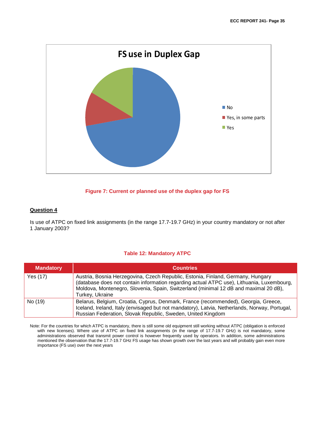

#### **Figure 7: Current or planned use of the duplex gap for FS**

#### **Question 4**

Is use of ATPC on fixed link assignments (in the range 17.7-19.7 GHz) in your country mandatory or not after 1 January 2003?

#### **Table 12: Mandatory ATPC**

| <b>Mandatory</b> | <b>Countries</b>                                                                                                                                                                                                                                                                        |
|------------------|-----------------------------------------------------------------------------------------------------------------------------------------------------------------------------------------------------------------------------------------------------------------------------------------|
| Yes (17)         | Austria, Bosnia Herzegovina, Czech Republic, Estonia, Finland, Germany, Hungary<br>(database does not contain information regarding actual ATPC use), Lithuania, Luxembourg,<br>Moldova, Montenegro, Slovenia, Spain, Switzerland (minimal 12 dB and maximal 20 dB),<br>Turkey, Ukraine |
| No (19)          | Belarus, Belgium, Croatia, Cyprus, Denmark, France (recommended), Georgia, Greece,<br>Iceland, Ireland, Italy (envisaged but not mandatory), Latvia, Netherlands, Norway, Portugal,<br>Russian Federation, Slovak Republic, Sweden, United Kingdom                                      |

Note: For the countries for which ATPC is mandatory, there is still some old equipment still working without ATPC (obligation is enforced with new licenses). Where use of ATPC on fixed link assignments (in the range of 17.7-19.7 GHz) is not mandatory, some administrations observed that transmit power control is however frequently used by operators. In addition, some administrations mentioned the observation that the 17.7-19.7 GHz FS usage has shown growth over the last years and will probably gain even more importance (FS use) over the next years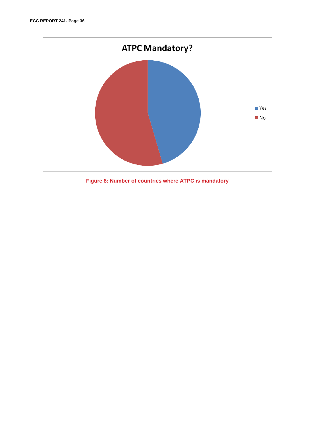

**Figure 8: Number of countries where ATPC is mandatory**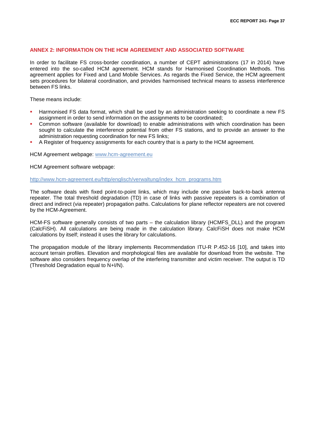#### <span id="page-36-0"></span>**ANNEX 2: INFORMATION ON THE HCM AGREEMENT AND ASSOCIATED SOFTWARE**

In order to facilitate FS cross-border coordination, a number of CEPT administrations (17 in 2014) have entered into the so-called HCM agreement. HCM stands for Harmonised Coordination Methods. This agreement applies for Fixed and Land Mobile Services. As regards the Fixed Service, the HCM agreement sets procedures for bilateral coordination, and provides harmonised technical means to assess interference between FS links.

These means include:

- Harmonised FS data format, which shall be used by an administration seeking to coordinate a new FS assignment in order to send information on the assignments to be coordinated;
- Common software (available for download) to enable administrations with which coordination has been sought to calculate the interference potential from other FS stations, and to provide an answer to the administration requesting coordination for new FS links;
- A Register of frequency assignments for each country that is a party to the HCM agreement.

HCM Agreement webpage: [www.hcm-agreement.eu](http://www.hcm-agreement.eu/)

HCM Agreement software webpage:

[http://www.hcm-agreement.eu/http/englisch/verwaltung/index\\_hcm\\_programs.htm](http://www.hcm-agreement.eu/http/englisch/verwaltung/index_hcm_programs.htm)

The software deals with fixed point-to-point links, which may include one passive back-to-back antenna repeater. The total threshold degradation (TD) in case of links with passive repeaters is a combination of direct and indirect (via repeater) propagation paths. Calculations for plane reflector repeaters are not covered by the HCM-Agreement.

HCM-FS software generally consists of two parts – the calculation library (HCMFS\_DLL) and the program (CalcFiSH). All calculations are being made in the calculation library. CalcFiSH does not make HCM calculations by itself; instead it uses the library for calculations.

The propagation module of the library implements Recommendation ITU-R P.452-16 [\[10\],](#page-40-10) and takes into account terrain profiles. Elevation and morphological files are available for download from the website. The software also considers frequency overlap of the interfering transmitter and victim receiver. The output is TD (Threshold Degradation equal to N+I/N).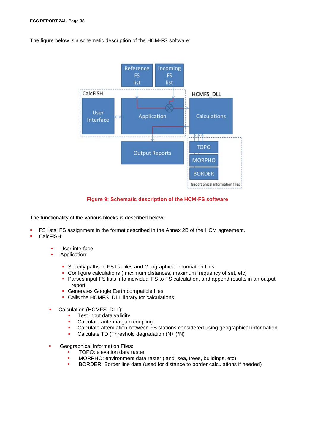The figure below is a schematic description of the HCM-FS software:



#### **Figure 9: Schematic description of the HCM-FS software**

The functionality of the various blocks is described below:

- FS lists: FS assignment in the format described in the Annex 2B of the HCM agreement.
- CalcFiSH:
	- User interface
		- Application:
			- Specify paths to FS list files and Geographical information files
			- Configure calculations (maximum distances, maximum frequency offset, etc)
			- Parses input FS lists into individual FS to FS calculation, and append results in an output report
			- **Generates Google Earth compatible files**
			- Calls the HCMFS\_DLL library for calculations
	- Calculation (HCMFS\_DLL):
		- **Test input data validity**<br>Calculate antenna gain
		- Calculate antenna gain coupling<br>• Calculate attenuation between F
		- Calculate attenuation between FS stations considered using geographical information
		- Calculate TD (Threshold degradation (N+I)/N)
	- Geographical Information Files:
		- TOPO: elevation data raster
		- MORPHO: environment data raster (land, sea, trees, buildings, etc)
		- BORDER: Border line data (used for distance to border calculations if needed)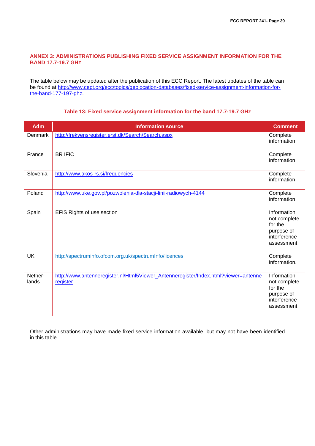#### <span id="page-38-0"></span>**ANNEX 3: ADMINISTRATIONS PUBLISHING FIXED SERVICE ASSIGNMENT INFORMATION FOR THE BAND 17.7-19.7 GHZ**

The table below may be updated after the publication of this ECC Report. The latest updates of the table can be found at [http://www.cept.org/ecc/topics/geolocation-databases/fixed-service-assignment-information-for](http://www.cept.org/ecc/topics/geolocation-databases/fixed-service-assignment-information-for-the-band-177-197-ghz)[the-band-177-197-ghz.](http://www.cept.org/ecc/topics/geolocation-databases/fixed-service-assignment-information-for-the-band-177-197-ghz)

| <b>Adm</b>       | <b>Information source</b>                                                                       | <b>Comment</b>                                                                     |
|------------------|-------------------------------------------------------------------------------------------------|------------------------------------------------------------------------------------|
| Denmark          | http://frekvensregister.erst.dk/Search/Search.aspx                                              | Complete<br>information                                                            |
| France           | <b>BRIFIC</b>                                                                                   | Complete<br>information                                                            |
| Slovenia         | http://www.akos-rs.si/frequencies                                                               | Complete<br>information                                                            |
| Poland           | http://www.uke.gov.pl/pozwolenia-dla-stacji-linii-radiowych-4144                                | Complete<br>information                                                            |
| Spain            | EFIS Rights of use section                                                                      | Information<br>not complete<br>for the<br>purpose of<br>interference<br>assessment |
| <b>UK</b>        | http://spectruminfo.ofcom.org.uk/spectrumInfo/licences                                          | Complete<br>information.                                                           |
| Nether-<br>lands | http://www.antenneregister.nl/Html5Viewer_Antenneregister/Index.html?viewer=antenne<br>register | Information<br>not complete<br>for the<br>purpose of<br>interference<br>assessment |

#### **Table 13: Fixed service assignment information for the band 17.7-19.7 GHz**

Other administrations may have made fixed service information available, but may not have been identified in this table.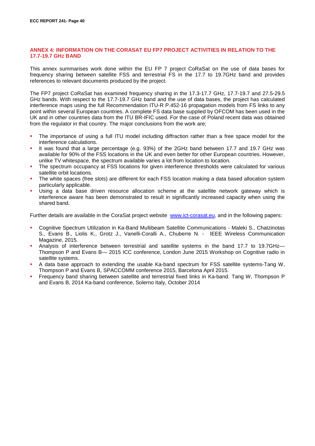#### <span id="page-39-0"></span>**ANNEX 4: INFORMATION ON THE CORASAT EU FP7 PROJECT ACTIVITIES IN RELATION TO THE 17.7-19.7 GHZ BAND**

This annex summarises work done within the EU FP 7 project CoRaSat on the use of data bases for frequency sharing between satellite FSS and terrestrial FS in the 17.7 to 19.7GHz band and provides references to relevant documents produced by the project.

The FP7 project CoRaSat has examined frequency sharing in the 17.3-17.7 GHz, 17.7-19.7 and 27.5-29.5 GHz bands. With respect to the 17.7-19.7 GHz band and the use of data bases, the project has calculated interference maps using the full Recommendation ITU-R P.452-16 propagation models from FS links to any point within several European countries. A complete FS data base supplied by OFCOM has been used in the UK and in other countries data from the ITU BR-IFIC used. For the case of Poland recent data was obtained from the regulator in that country. The major conclusions from the work are;

- The importance of using a full ITU model including diffraction rather than a free space model for the interference calculations.
- It was found that a large percentage (e.g. 93%) of the 2GHz band between 17.7 and 19.7 GHz was available for 90% of the FSS locations in the UK and even better for other European countries. However, unlike TV whitespace, the spectrum available varies a lot from location to location.
- The spectrum occupancy at FSS locations for given interference thresholds were calculated for various satellite orbit locations.
- The white spaces (free slots) are different for each FSS location making a data based allocation system particularly applicable.
- Using a data base driven resource allocation scheme at the satellite network gateway which is interference aware has been demonstrated to result in significantly increased capacity when using the shared band.

Further details are available in the CoraSat project website [www.ict-corasat.eu,](http://www.ict-corasat.eu/) and in the following papers:

- Cognitive Spectrum Utilization in Ka-Band Multibeam Satellite Communications Maleki S., Chatzinotas S., Evans B., Liolis K., Grotz J., Vanelli-Coralli A., Chuberre N. - IEEE Wireless Communication Magazine, 2015.
- Analysis of interference between terrestrial and satellite systems in the band 17.7 to 19.7GHz— Thompson P and Evans B— 2015 ICC conference, London June 2015 Workshop on Cognitive radio in satellite systems.
- A data base approach to extending the usable Ka-band spectrum for FSS satellite systems-Tang W, Thompson P and Evans B, SPACCOMM conference 2015, Barcelona April 2015.
- Frequency band sharing between satellite and terrestrial fixed links in Ka-band. Tang W, Thompson P and Evans B, 2014 Ka-band conference, Solerno Italy, October 2014